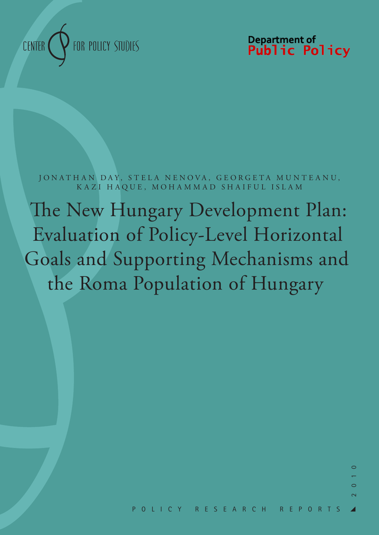

Department of<br>**Public Policy** 

JONATHAN DAY, STELA NENOVA, GEORGETA MUNTEANU, KAZI HAQUE, MOHAMMAD SHAIFUL ISLAM

The New Hungary Development Plan: Evaluation of Policy-Level Horizontal Goals and Supporting Mechanisms and the Roma Population of Hungary

 $\circ$ 

 $\bigcap$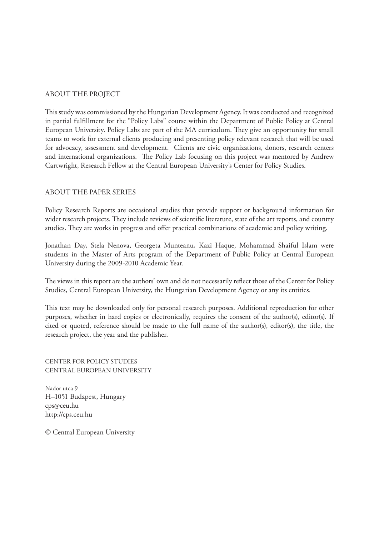#### ABOUT THE PROJECT

This study was commissioned by the Hungarian Development Agency. It was conducted and recognized in partial fulfillment for the "Policy Labs" course within the Department of Public Policy at Central European University. Policy Labs are part of the MA curriculum. They give an opportunity for small teams to work for external clients producing and presenting policy relevant research that will be used for advocacy, assessment and development. Clients are civic organizations, donors, research centers and international organizations. The Policy Lab focusing on this project was mentored by Andrew Cartwright, Research Fellow at the Central European University's Center for Policy Studies.

#### ABOUT THE PAPER SERIES

Policy Research Reports are occasional studies that provide support or background information for wider research projects. They include reviews of scientific literature, state of the art reports, and country studies. They are works in progress and offer practical combinations of academic and policy writing.

Jonathan Day, Stela Nenova, Georgeta Munteanu, Kazi Haque, Mohammad Shaiful Islam were students in the Master of Arts program of the Department of Public Policy at Central European University during the 2009-2010 Academic Year.

The views in this report are the authors' own and do not necessarily reflect those of the Center for Policy Studies, Central European University, the Hungarian Development Agency or any its entities.

This text may be downloaded only for personal research purposes. Additional reproduction for other purposes, whether in hard copies or electronically, requires the consent of the author(s), editor(s). If cited or quoted, reference should be made to the full name of the author(s), editor(s), the title, the research project, the year and the publisher.

CENTER FOR POLICY STUDIES CENTRAL EUROPEAN UNIVERSITY

Nador utca 9 H–1051 Budapest, Hungary cps@ceu.hu http://cps.ceu.hu

© Central European University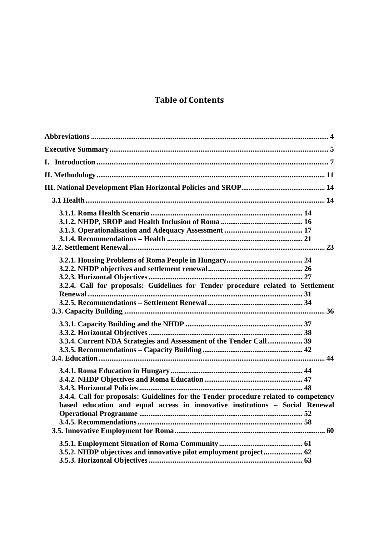## **Table of Contents**

| 3.2.4. Call for proposals: Guidelines for Tender procedure related to Settlement                                                                                     |  |
|----------------------------------------------------------------------------------------------------------------------------------------------------------------------|--|
| 3.3.4. Current NDA Strategies and Assessment of the Tender Call 39                                                                                                   |  |
| 3.4.4. Call for proposals: Guidelines for the Tender procedure related to competency<br>based education and equal access in innovative institutions - Social Renewal |  |
|                                                                                                                                                                      |  |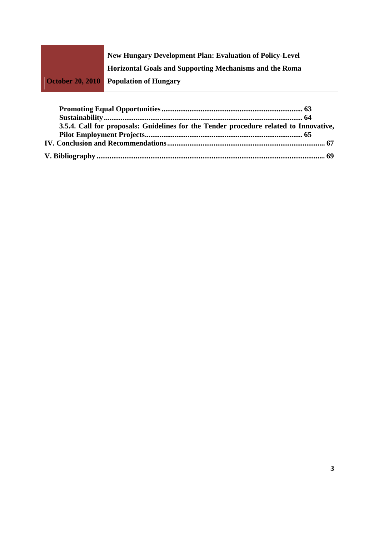

| 3.5.4. Call for proposals: Guidelines for the Tender procedure related to Innovative, |  |
|---------------------------------------------------------------------------------------|--|
|                                                                                       |  |
|                                                                                       |  |
|                                                                                       |  |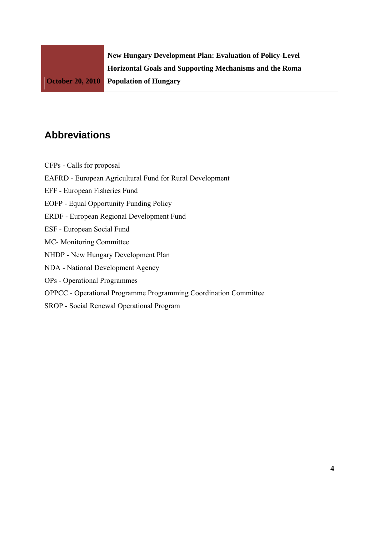# **Abbreviations**

CFPs - Calls for proposal

EAFRD - European Agricultural Fund for Rural Development

EFF - European Fisheries Fund

EOFP - Equal Opportunity Funding Policy

ERDF - European Regional Development Fund

ESF - European Social Fund

MC- Monitoring Committee

NHDP - New Hungary Development Plan

NDA - National Development Agency

OPs - Operational Programmes

OPPCC - Operational Programme Programming Coordination Committee

SROP - Social Renewal Operational Program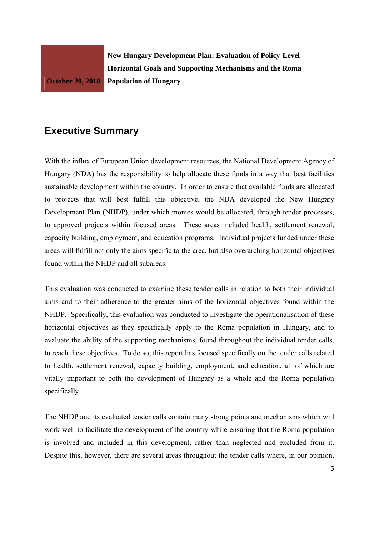## **Executive Summary**

With the influx of European Union development resources, the National Development Agency of Hungary (NDA) has the responsibility to help allocate these funds in a way that best facilities sustainable development within the country. In order to ensure that available funds are allocated to projects that will best fulfill this objective, the NDA developed the New Hungary Development Plan (NHDP), under which monies would be allocated, through tender processes, to approved projects within focused areas. These areas included health, settlement renewal, capacity building, employment, and education programs. Individual projects funded under these areas will fulfill not only the aims specific to the area, but also overarching horizontal objectives found within the NHDP and all subareas.

This evaluation was conducted to examine these tender calls in relation to both their individual aims and to their adherence to the greater aims of the horizontal objectives found within the NHDP. Specifically, this evaluation was conducted to investigate the operationalisation of these horizontal objectives as they specifically apply to the Roma population in Hungary, and to evaluate the ability of the supporting mechanisms, found throughout the individual tender calls, to reach these objectives. To do so, this report has focused specifically on the tender calls related to health, settlement renewal, capacity building, employment, and education, all of which are vitally important to both the development of Hungary as a whole and the Roma population specifically.

The NHDP and its evaluated tender calls contain many strong points and mechanisms which will work well to facilitate the development of the country while ensuring that the Roma population is involved and included in this development, rather than neglected and excluded from it. Despite this, however, there are several areas throughout the tender calls where, in our opinion,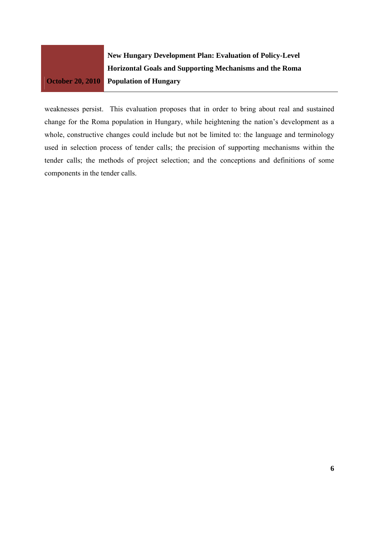

weaknesses persist. This evaluation proposes that in order to bring about real and sustained change for the Roma population in Hungary, while heightening the nation's development as a whole, constructive changes could include but not be limited to: the language and terminology used in selection process of tender calls; the precision of supporting mechanisms within the tender calls; the methods of project selection; and the conceptions and definitions of some components in the tender calls.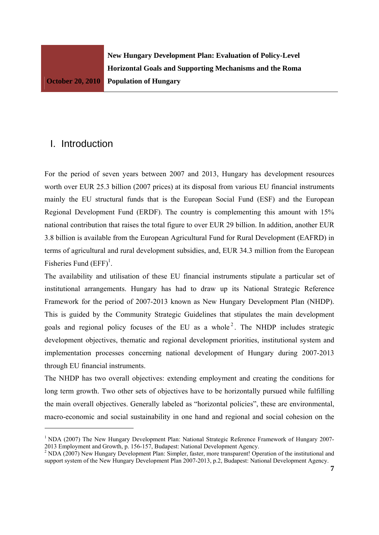## I. Introduction

For the period of seven years between 2007 and 2013, Hungary has development resources worth over EUR 25.3 billion (2007 prices) at its disposal from various EU financial instruments mainly the EU structural funds that is the European Social Fund (ESF) and the European Regional Development Fund (ERDF). The country is complementing this amount with 15% national contribution that raises the total figure to over EUR 29 billion. In addition, another EUR 3.8 billion is available from the European Agricultural Fund for Rural Development (EAFRD) in terms of agricultural and rural development subsidies, and, EUR 34.3 million from the European Fisheries Fund  $(EFF)^1$ .

The availability and utilisation of these EU financial instruments stipulate a particular set of institutional arrangements. Hungary has had to draw up its National Strategic Reference Framework for the period of 2007-2013 known as New Hungary Development Plan (NHDP). This is guided by the Community Strategic Guidelines that stipulates the main development goals and regional policy focuses of the EU as a whole<sup>2</sup>. The NHDP includes strategic development objectives, thematic and regional development priorities, institutional system and implementation processes concerning national development of Hungary during 2007-2013 through EU financial instruments.

The NHDP has two overall objectives: extending employment and creating the conditions for long term growth. Two other sets of objectives have to be horizontally pursued while fulfilling the main overall objectives. Generally labeled as "horizontal policies", these are environmental, macro-economic and social sustainability in one hand and regional and social cohesion on the

<sup>&</sup>lt;sup>1</sup> NDA (2007) The New Hungary Development Plan: National Strategic Reference Framework of Hungary 2007-2013 Employment and Growth, p. 156-157, Budapest: National Development Agency.<br><sup>2</sup> NDA (2007) New Hungary Development Plan: Simpler, faster, more transparent! Operation of the institutional and

support system of the New Hungary Development Plan 2007-2013, p.2, Budapest: National Development Agency.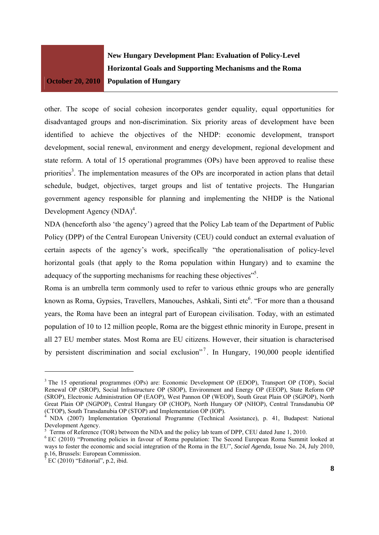**New Hungary Development Plan: Evaluation of Policy-Level Horizontal Goals and Supporting Mechanisms and the Roma Population of Hungary** 

other. The scope of social cohesion incorporates gender equality, equal opportunities for disadvantaged groups and non-discrimination. Six priority areas of development have been identified to achieve the objectives of the NHDP: economic development, transport development, social renewal, environment and energy development, regional development and state reform. A total of 15 operational programmes (OPs) have been approved to realise these priorities<sup>3</sup>. The implementation measures of the OPs are incorporated in action plans that detail schedule, budget, objectives, target groups and list of tentative projects. The Hungarian government agency responsible for planning and implementing the NHDP is the National Development Agency  $(NDA)^4$ .

NDA (henceforth also 'the agency') agreed that the Policy Lab team of the Department of Public Policy (DPP) of the Central European University (CEU) could conduct an external evaluation of certain aspects of the agency's work, specifically "the operationalisation of policy-level horizontal goals (that apply to the Roma population within Hungary) and to examine the adequacy of the supporting mechanisms for reaching these objectives"<sup>5</sup>.

Roma is an umbrella term commonly used to refer to various ethnic groups who are generally known as Roma, Gypsies, Travellers, Manouches, Ashkali, Sinti etc<sup>6</sup>. "For more than a thousand years, the Roma have been an integral part of European civilisation. Today, with an estimated population of 10 to 12 million people, Roma are the biggest ethnic minority in Europe, present in all 27 EU member states. Most Roma are EU citizens. However, their situation is characterised by persistent discrimination and social exclusion"<sup>7</sup>. In Hungary, 190,000 people identified

<sup>&</sup>lt;sup>3</sup> The 15 operational programmes (OPs) are: Economic Development OP (EDOP), Transport OP (TOP), Social Renewal OP (SROP), Social Infrastructure OP (SIOP), Environment and Energy OP (EEOP), State Reform OP (SROP), Electronic Administration OP (EAOP), West Pannon OP (WEOP), South Great Plain OP (SGPOP), North Great Plain OP (NGPOP), Central Hungary OP (CHOP), North Hungary OP (NHOP), Central Transdanubia OP (CTOP), South Transdanubia OP (STOP) and Implementation OP (IOP).

<sup>4</sup> NDA (2007) Implementation Operational Programme (Technical Assistance), p. 41, Budapest: National Development Agency.

 $5$  Terms of Reference (TOR) between the NDA and the policy lab team of DPP, CEU dated June 1, 2010.

<sup>&</sup>lt;sup>6</sup> EC (2010) "Promoting policies in favour of Roma population: The Second European Roma Summit looked at ways to foster the economic and social integration of the Roma in the EU", *Social Agenda,* Issue No. 24, July 2010, p.16, Brussels: European Commission.<br><sup>7</sup> EC (2010) "Editorial" n 2, ibid.

 $E$  EC (2010) "Editorial", p.2, ibid.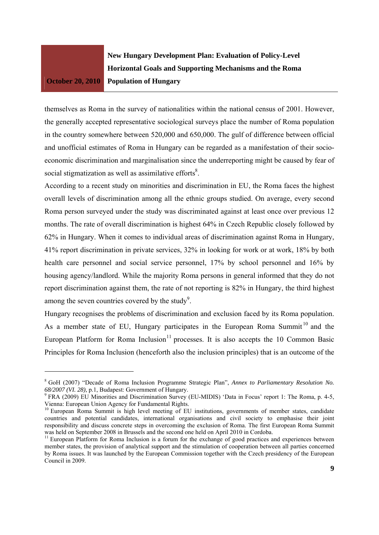**New Hungary Development Plan: Evaluation of Policy-Level Horizontal Goals and Supporting Mechanisms and the Roma Population of Hungary** 

themselves as Roma in the survey of nationalities within the national census of 2001. However, the generally accepted representative sociological surveys place the number of Roma population in the country somewhere between 520,000 and 650,000. The gulf of difference between official and unofficial estimates of Roma in Hungary can be regarded as a manifestation of their socioeconomic discrimination and marginalisation since the underreporting might be caused by fear of social stigmatization as well as assimilative efforts $\delta$ .

According to a recent study on minorities and discrimination in EU, the Roma faces the highest overall levels of discrimination among all the ethnic groups studied. On average, every second Roma person surveyed under the study was discriminated against at least once over previous 12 months. The rate of overall discrimination is highest 64% in Czech Republic closely followed by 62% in Hungary. When it comes to individual areas of discrimination against Roma in Hungary, 41% report discrimination in private services, 32% in looking for work or at work, 18% by both health care personnel and social service personnel, 17% by school personnel and 16% by housing agency/landlord. While the majority Roma persons in general informed that they do not report discrimination against them, the rate of not reporting is 82% in Hungary, the third highest among the seven countries covered by the study<sup>9</sup>.

Hungary recognises the problems of discrimination and exclusion faced by its Roma population. As a member state of EU, Hungary participates in the European Roma Summit<sup>10</sup> and the European Platform for Roma Inclusion<sup>11</sup> processes. It is also accepts the 10 Common Basic Principles for Roma Inclusion (henceforth also the inclusion principles) that is an outcome of the

<sup>8</sup> GoH (2007) "Decade of Roma Inclusion Programme Strategic Plan", *Annex to Parliamentary Resolution No. 68/2007 (VI. 28),* p.1, Budapest: Government of Hungary. 9

 $9$  FRA (2009) EU Minorities and Discrimination Survey (EU-MIDIS) 'Data in Focus' report 1: The Roma, p. 4-5, Vienna: European Union Agency for Fundamental Rights.

<sup>&</sup>lt;sup>10</sup> European Roma Summit is high level meeting of EU institutions, governments of member states, candidate countries and potential candidates, international organisations and civil society to emphasise their joint responsibility and discuss concrete steps in overcoming the exclusion of Roma. The first European Roma Summit was held on September 2008 in Brussels and the second one held on April 2010 in Cordoba.

<sup>&</sup>lt;sup>11</sup> European Platform for Roma Inclusion is a forum for the exchange of good practices and experiences between member states, the provision of analytical support and the stimulation of cooperation between all parties concerned by Roma issues. It was launched by the European Commission together with the Czech presidency of the European Council in 2009.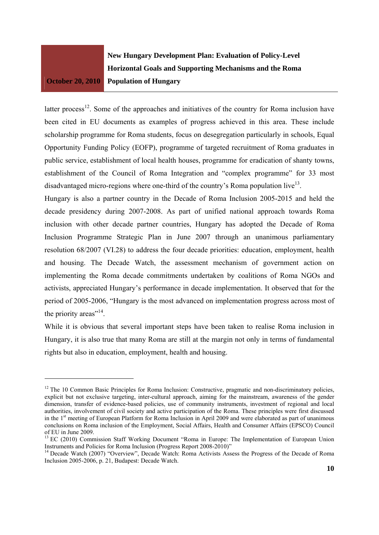**New Hungary Development Plan: Evaluation of Policy-Level Horizontal Goals and Supporting Mechanisms and the Roma Population of Hungary** 

latter process<sup>12</sup>. Some of the approaches and initiatives of the country for Roma inclusion have been cited in EU documents as examples of progress achieved in this area. These include scholarship programme for Roma students, focus on desegregation particularly in schools, Equal Opportunity Funding Policy (EOFP), programme of targeted recruitment of Roma graduates in public service, establishment of local health houses, programme for eradication of shanty towns, establishment of the Council of Roma Integration and "complex programme" for 33 most disadvantaged micro-regions where one-third of the country's Roma population live<sup>13</sup>.

Hungary is also a partner country in the Decade of Roma Inclusion 2005-2015 and held the decade presidency during 2007-2008. As part of unified national approach towards Roma inclusion with other decade partner countries, Hungary has adopted the Decade of Roma Inclusion Programme Strategic Plan in June 2007 through an unanimous parliamentary resolution 68/2007 (VI.28) to address the four decade priorities: education, employment, health and housing. The Decade Watch, the assessment mechanism of government action on implementing the Roma decade commitments undertaken by coalitions of Roma NGOs and activists, appreciated Hungary's performance in decade implementation. It observed that for the period of 2005-2006, "Hungary is the most advanced on implementation progress across most of the priority areas"<sup>14</sup>.

While it is obvious that several important steps have been taken to realise Roma inclusion in Hungary, it is also true that many Roma are still at the margin not only in terms of fundamental rights but also in education, employment, health and housing.

<sup>&</sup>lt;sup>12</sup> The 10 Common Basic Principles for Roma Inclusion: Constructive, pragmatic and non-discriminatory policies, explicit but not exclusive targeting, inter-cultural approach, aiming for the mainstream, awareness of the gender dimension, transfer of evidence-based policies, use of community instruments, investment of regional and local authorities, involvement of civil society and active participation of the Roma. These principles were first discussed in the 1<sup>st</sup> meeting of European Platform for Roma Inclusion in April 2009 and were elaborated as part of unanimous conclusions on Roma inclusion of the Employment, Social Affairs, Health and Consumer Affairs (EPSCO) Council of EU in June 2009.

<sup>&</sup>lt;sup>13</sup> EC (2010) Commission Staff Working Document "Roma in Europe: The Implementation of European Union Instruments and Policies for Roma Inclusion (Progress Report 2008-2010)"

<sup>&</sup>lt;sup>14</sup> Decade Watch (2007) "Overview", Decade Watch: Roma Activists Assess the Progress of the Decade of Roma Inclusion 2005-2006, p. 21, Budapest: Decade Watch.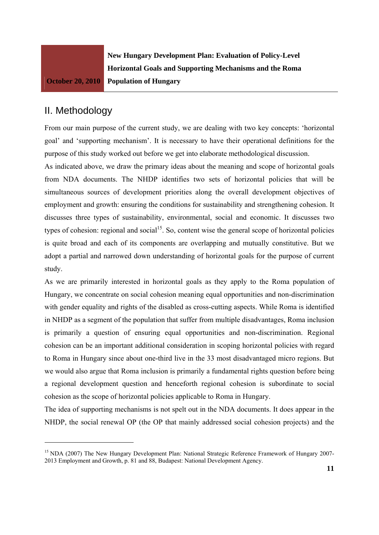**New Hungary Development Plan: Evaluation of Policy-Level Horizontal Goals and Supporting Mechanisms and the Roma Population of Hungary** 

# II. Methodology

From our main purpose of the current study, we are dealing with two key concepts: 'horizontal goal' and 'supporting mechanism'. It is necessary to have their operational definitions for the purpose of this study worked out before we get into elaborate methodological discussion.

As indicated above, we draw the primary ideas about the meaning and scope of horizontal goals from NDA documents. The NHDP identifies two sets of horizontal policies that will be simultaneous sources of development priorities along the overall development objectives of employment and growth: ensuring the conditions for sustainability and strengthening cohesion. It discusses three types of sustainability, environmental, social and economic. It discusses two types of cohesion: regional and social<sup>15</sup>. So, content wise the general scope of horizontal policies is quite broad and each of its components are overlapping and mutually constitutive. But we adopt a partial and narrowed down understanding of horizontal goals for the purpose of current study.

As we are primarily interested in horizontal goals as they apply to the Roma population of Hungary, we concentrate on social cohesion meaning equal opportunities and non-discrimination with gender equality and rights of the disabled as cross-cutting aspects. While Roma is identified in NHDP as a segment of the population that suffer from multiple disadvantages, Roma inclusion is primarily a question of ensuring equal opportunities and non-discrimination. Regional cohesion can be an important additional consideration in scoping horizontal policies with regard to Roma in Hungary since about one-third live in the 33 most disadvantaged micro regions. But we would also argue that Roma inclusion is primarily a fundamental rights question before being a regional development question and henceforth regional cohesion is subordinate to social cohesion as the scope of horizontal policies applicable to Roma in Hungary.

The idea of supporting mechanisms is not spelt out in the NDA documents. It does appear in the NHDP, the social renewal OP (the OP that mainly addressed social cohesion projects) and the

<sup>&</sup>lt;sup>15</sup> NDA (2007) The New Hungary Development Plan: National Strategic Reference Framework of Hungary 2007-2013 Employment and Growth, p. 81 and 88, Budapest: National Development Agency.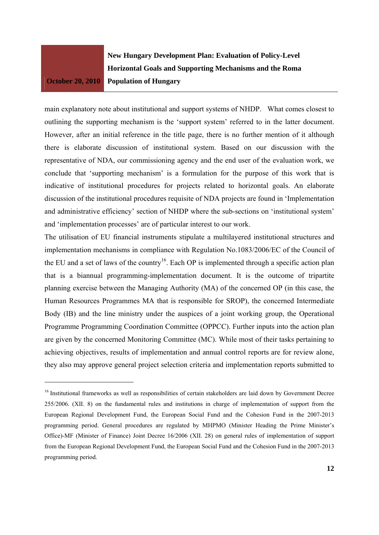**New Hungary Development Plan: Evaluation of Policy-Level Horizontal Goals and Supporting Mechanisms and the Roma Population of Hungary** 

main explanatory note about institutional and support systems of NHDP. What comes closest to outlining the supporting mechanism is the 'support system' referred to in the latter document. However, after an initial reference in the title page, there is no further mention of it although there is elaborate discussion of institutional system. Based on our discussion with the representative of NDA, our commissioning agency and the end user of the evaluation work, we conclude that 'supporting mechanism' is a formulation for the purpose of this work that is indicative of institutional procedures for projects related to horizontal goals. An elaborate discussion of the institutional procedures requisite of NDA projects are found in 'Implementation and administrative efficiency' section of NHDP where the sub-sections on 'institutional system' and 'implementation processes' are of particular interest to our work.

The utilisation of EU financial instruments stipulate a multilayered institutional structures and implementation mechanisms in compliance with Regulation No.1083/2006/EC of the Council of the EU and a set of laws of the country<sup>16</sup>. Each OP is implemented through a specific action plan that is a biannual programming-implementation document. It is the outcome of tripartite planning exercise between the Managing Authority (MA) of the concerned OP (in this case, the Human Resources Programmes MA that is responsible for SROP), the concerned Intermediate Body (IB) and the line ministry under the auspices of a joint working group, the Operational Programme Programming Coordination Committee (OPPCC). Further inputs into the action plan are given by the concerned Monitoring Committee (MC). While most of their tasks pertaining to achieving objectives, results of implementation and annual control reports are for review alone, they also may approve general project selection criteria and implementation reports submitted to

<sup>&</sup>lt;sup>16</sup> Institutional frameworks as well as responsibilities of certain stakeholders are laid down by Government Decree 255/2006. (XII. 8) on the fundamental rules and institutions in charge of implementation of support from the European Regional Development Fund, the European Social Fund and the Cohesion Fund in the 2007-2013 programming period. General procedures are regulated by MHPMO (Minister Heading the Prime Minister's Office)-MF (Minister of Finance) Joint Decree 16/2006 (XII. 28) on general rules of implementation of support from the European Regional Development Fund, the European Social Fund and the Cohesion Fund in the 2007-2013 programming period.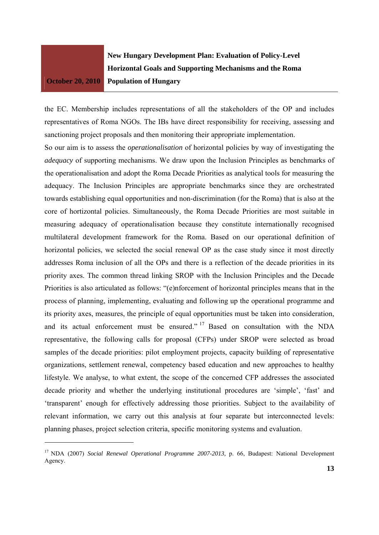**New Hungary Development Plan: Evaluation of Policy-Level Horizontal Goals and Supporting Mechanisms and the Roma Population of Hungary** 

the EC. Membership includes representations of all the stakeholders of the OP and includes representatives of Roma NGOs. The IBs have direct responsibility for receiving, assessing and sanctioning project proposals and then monitoring their appropriate implementation.

So our aim is to assess the *operationalisation* of horizontal policies by way of investigating the *adequacy* of supporting mechanisms. We draw upon the Inclusion Principles as benchmarks of the operationalisation and adopt the Roma Decade Priorities as analytical tools for measuring the adequacy. The Inclusion Principles are appropriate benchmarks since they are orchestrated towards establishing equal opportunities and non-discrimination (for the Roma) that is also at the core of hortizontal policies. Simultaneously, the Roma Decade Priorities are most suitable in measuring adequacy of operationalisation because they constitute internationally recognised multilateral development framework for the Roma. Based on our operational definition of horizontal policies, we selected the social renewal OP as the case study since it most directly addresses Roma inclusion of all the OPs and there is a reflection of the decade priorities in its priority axes. The common thread linking SROP with the Inclusion Principles and the Decade Priorities is also articulated as follows: "(e)nforcement of horizontal principles means that in the process of planning, implementing, evaluating and following up the operational programme and its priority axes, measures, the principle of equal opportunities must be taken into consideration, and its actual enforcement must be ensured."  $17$  Based on consultation with the NDA representative, the following calls for proposal (CFPs) under SROP were selected as broad samples of the decade priorities: pilot employment projects, capacity building of representative organizations, settlement renewal, competency based education and new approaches to healthy lifestyle. We analyse, to what extent, the scope of the concerned CFP addresses the associated decade priority and whether the underlying institutional procedures are 'simple', 'fast' and 'transparent' enough for effectively addressing those priorities. Subject to the availability of relevant information, we carry out this analysis at four separate but interconnected levels: planning phases, project selection criteria, specific monitoring systems and evaluation.

<sup>&</sup>lt;sup>17</sup> NDA (2007) *Social Renewal Operational Programme 2007-2013*, p. 66, Budapest: National Development Agency.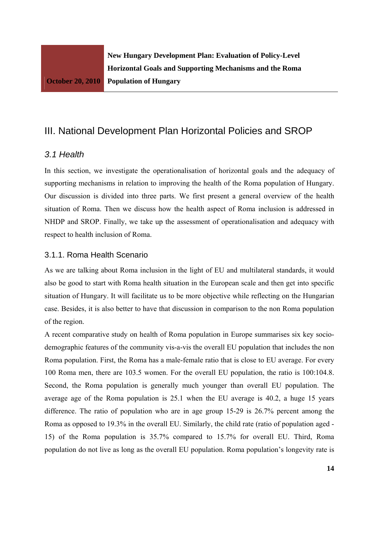# III. National Development Plan Horizontal Policies and SROP

### *3.1 Health*

In this section, we investigate the operationalisation of horizontal goals and the adequacy of supporting mechanisms in relation to improving the health of the Roma population of Hungary. Our discussion is divided into three parts. We first present a general overview of the health situation of Roma. Then we discuss how the health aspect of Roma inclusion is addressed in NHDP and SROP. Finally, we take up the assessment of operationalisation and adequacy with respect to health inclusion of Roma.

#### 3.1.1. Roma Health Scenario

As we are talking about Roma inclusion in the light of EU and multilateral standards, it would also be good to start with Roma health situation in the European scale and then get into specific situation of Hungary. It will facilitate us to be more objective while reflecting on the Hungarian case. Besides, it is also better to have that discussion in comparison to the non Roma population of the region.

A recent comparative study on health of Roma population in Europe summarises six key sociodemographic features of the community vis-a-vis the overall EU population that includes the non Roma population. First, the Roma has a male-female ratio that is close to EU average. For every 100 Roma men, there are 103.5 women. For the overall EU population, the ratio is 100:104.8. Second, the Roma population is generally much younger than overall EU population. The average age of the Roma population is 25.1 when the EU average is 40.2, a huge 15 years difference. The ratio of population who are in age group 15-29 is 26.7% percent among the Roma as opposed to 19.3% in the overall EU. Similarly, the child rate (ratio of population aged - 15) of the Roma population is 35.7% compared to 15.7% for overall EU. Third, Roma population do not live as long as the overall EU population. Roma population's longevity rate is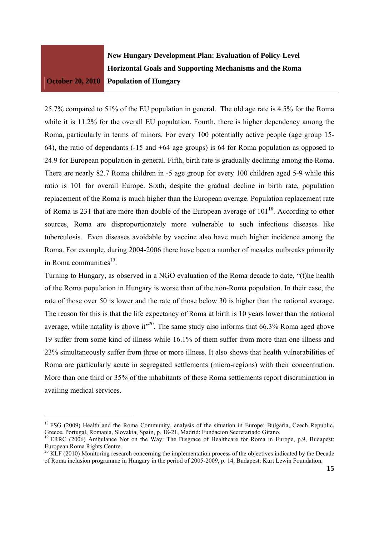**New Hungary Development Plan: Evaluation of Policy-Level Horizontal Goals and Supporting Mechanisms and the Roma Population of Hungary** 

25.7% compared to 51% of the EU population in general. The old age rate is 4.5% for the Roma while it is 11.2% for the overall EU population. Fourth, there is higher dependency among the Roma, particularly in terms of minors. For every 100 potentially active people (age group 15- 64), the ratio of dependants (-15 and +64 age groups) is 64 for Roma population as opposed to 24.9 for European population in general. Fifth, birth rate is gradually declining among the Roma. There are nearly 82.7 Roma children in -5 age group for every 100 children aged 5-9 while this ratio is 101 for overall Europe. Sixth, despite the gradual decline in birth rate, population replacement of the Roma is much higher than the European average. Population replacement rate of Roma is 231 that are more than double of the European average of  $101^{18}$ . According to other sources, Roma are disproportionately more vulnerable to such infectious diseases like tuberculosis. Even diseases avoidable by vaccine also have much higher incidence among the Roma. For example, during 2004-2006 there have been a number of measles outbreaks primarily in Roma communities $^{19}$ .

Turning to Hungary, as observed in a NGO evaluation of the Roma decade to date, "(t)he health of the Roma population in Hungary is worse than of the non-Roma population. In their case, the rate of those over 50 is lower and the rate of those below 30 is higher than the national average. The reason for this is that the life expectancy of Roma at birth is 10 years lower than the national average, while natality is above it<sup> $20$ </sup>. The same study also informs that 66.3% Roma aged above 19 suffer from some kind of illness while 16.1% of them suffer from more than one illness and 23% simultaneously suffer from three or more illness. It also shows that health vulnerabilities of Roma are particularly acute in segregated settlements (micro-regions) with their concentration. More than one third or 35% of the inhabitants of these Roma settlements report discrimination in availing medical services.

<sup>&</sup>lt;sup>18</sup> FSG (2009) Health and the Roma Community, analysis of the situation in Europe: Bulgaria, Czech Republic, Greece, Portugal, Romania, Slovakia, Spain, p. 18-21, Madrid: Fundacion Secretariado Gitano.

<sup>&</sup>lt;sup>19</sup> ERRC (2006) Ambulance Not on the Way: The Disgrace of Healthcare for Roma in Europe, p.9, Budapest: European Roma Rights Centre.

 $20$  KLF (2010) Monitoring research concerning the implementation process of the objectives indicated by the Decade of Roma inclusion programme in Hungary in the period of 2005-2009, p. 14, Budapest: Kurt Lewin Foundation.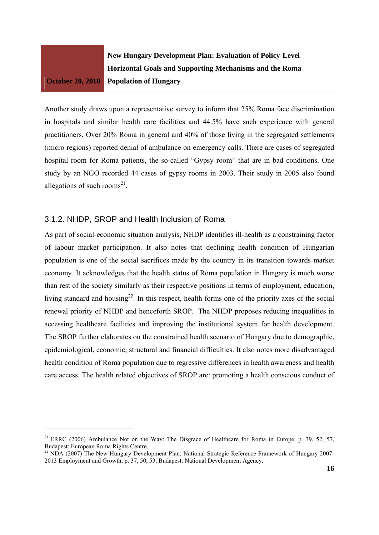

**New Hungary Development Plan: Evaluation of Policy-Level Horizontal Goals and Supporting Mechanisms and the Roma Population of Hungary** 

Another study draws upon a representative survey to inform that 25% Roma face discrimination in hospitals and similar health care facilities and 44.5% have such experience with general practitioners. Over 20% Roma in general and 40% of those living in the segregated settlements (micro regions) reported denial of ambulance on emergency calls. There are cases of segregated hospital room for Roma patients, the so-called "Gypsy room" that are in bad conditions. One study by an NGO recorded 44 cases of gypsy rooms in 2003. Their study in 2005 also found allegations of such rooms<sup>21</sup>.

### 3.1.2. NHDP, SROP and Health Inclusion of Roma

As part of social-economic situation analysis, NHDP identifies ill-health as a constraining factor of labour market participation. It also notes that declining health condition of Hungarian population is one of the social sacrifices made by the country in its transition towards market economy. It acknowledges that the health status of Roma population in Hungary is much worse than rest of the society similarly as their respective positions in terms of employment, education, living standard and housing<sup>22</sup>. In this respect, health forms one of the priority axes of the social renewal priority of NHDP and henceforth SROP. The NHDP proposes reducing inequalities in accessing healthcare facilities and improving the institutional system for health development. The SROP further elaborates on the constrained health scenario of Hungary due to demographic, epidemiological, economic, structural and financial difficulties. It also notes more disadvantaged health condition of Roma population due to regressive differences in health awareness and health care access. The health related objectives of SROP are: promoting a health conscious conduct of

<sup>&</sup>lt;sup>21</sup> ERRC (2006) Ambulance Not on the Way: The Disgrace of Healthcare for Roma in Europe, p. 39, 52, 57, Budapest: European Roma Rights Centre.

<sup>&</sup>lt;sup>22</sup> NDA (2007) The New Hungary Development Plan: National Strategic Reference Framework of Hungary 2007-2013 Employment and Growth, p. 37, 50, 53, Budapest: National Development Agency.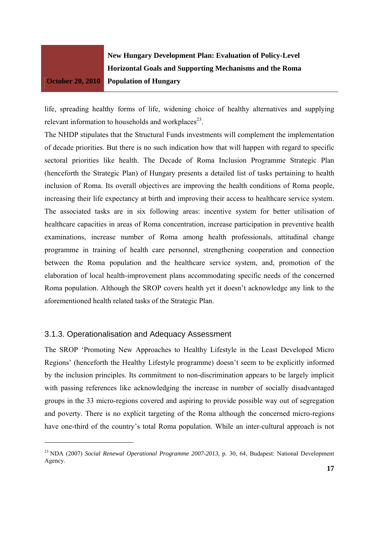**New Hungary Development Plan: Evaluation of Policy-Level Horizontal Goals and Supporting Mechanisms and the Roma Population of Hungary** 

life, spreading healthy forms of life, widening choice of healthy alternatives and supplying relevant information to households and workplaces $23$ .

The NHDP stipulates that the Structural Funds investments will complement the implementation of decade priorities. But there is no such indication how that will happen with regard to specific sectoral priorities like health. The Decade of Roma Inclusion Programme Strategic Plan (henceforth the Strategic Plan) of Hungary presents a detailed list of tasks pertaining to health inclusion of Roma. Its overall objectives are improving the health conditions of Roma people, increasing their life expectancy at birth and improving their access to healthcare service system. The associated tasks are in six following areas: incentive system for better utilisation of healthcare capacities in areas of Roma concentration, increase participation in preventive health examinations, increase number of Roma among health professionals, attitudinal change programme in training of health care personnel, strengthening cooperation and connection between the Roma population and the healthcare service system, and, promotion of the elaboration of local health-improvement plans accommodating specific needs of the concerned Roma population. Although the SROP covers health yet it doesn't acknowledge any link to the aforementioned health related tasks of the Strategic Plan.

## 3.1.3. Operationalisation and Adequacy Assessment

The SROP 'Promoting New Approaches to Healthy Lifestyle in the Least Developed Micro Regions' (henceforth the Healthy Lifestyle programme) doesn't seem to be explicitly informed by the inclusion principles. Its commitment to non-discrimination appears to be largely implicit with passing references like acknowledging the increase in number of socially disadvantaged groups in the 33 micro-regions covered and aspiring to provide possible way out of segregation and poverty. There is no explicit targeting of the Roma although the concerned micro-regions have one-third of the country's total Roma population. While an inter-cultural approach is not

<sup>&</sup>lt;sup>23</sup> NDA (2007) *Social Renewal Operational Programme 2007-2013*, p. 30, 64, Budapest: National Development Agency.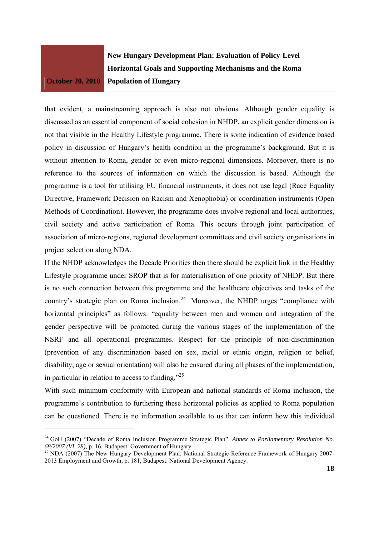**New Hungary Development Plan: Evaluation of Policy-Level Horizontal Goals and Supporting Mechanisms and the Roma Population of Hungary** 

that evident, a mainstreaming approach is also not obvious. Although gender equality is discussed as an essential component of social cohesion in NHDP, an explicit gender dimension is not that visible in the Healthy Lifestyle programme. There is some indication of evidence based policy in discussion of Hungary's health condition in the programme's background. But it is without attention to Roma, gender or even micro-regional dimensions. Moreover, there is no reference to the sources of information on which the discussion is based. Although the programme is a tool for utilising EU financial instruments, it does not use legal (Race Equality Directive, Framework Decision on Racism and Xenophobia) or coordination instruments (Open Methods of Coordination). However, the programme does involve regional and local authorities, civil society and active participation of Roma. This occurs through joint participation of association of micro-regions, regional development committees and civil society organisations in project selection along NDA.

If the NHDP acknowledges the Decade Priorities then there should be explicit link in the Healthy Lifestyle programme under SROP that is for materialisation of one priority of NHDP. But there is no such connection between this programme and the healthcare objectives and tasks of the country's strategic plan on Roma inclusion.<sup>24</sup> Moreover, the NHDP urges "compliance with horizontal principles" as follows: "equality between men and women and integration of the gender perspective will be promoted during the various stages of the implementation of the NSRF and all operational programmes. Respect for the principle of non-discrimination (prevention of any discrimination based on sex, racial or ethnic origin, religion or belief, disability, age or sexual orientation) will also be ensured during all phases of the implementation, in particular in relation to access to funding. $^{225}$ 

With such minimum conformity with European and national standards of Roma inclusion, the programme's contribution to furthering these horizontal policies as applied to Roma population can be questioned. There is no information available to us that can inform how this individual

<sup>&</sup>lt;sup>24</sup> GoH (2007) "Decade of Roma Inclusion Programme Strategic Plan", *Annex to Parliamentary Resolution No.* 68/2007 (VI. 28), p. 16, Budapest: Government of Hungary.

<sup>&</sup>lt;sup>25</sup> NDA (2007) The New Hungary Development Plan: National Strategic Reference Framework of Hungary 2007-2013 Employment and Growth, p. 181, Budapest: National Development Agency.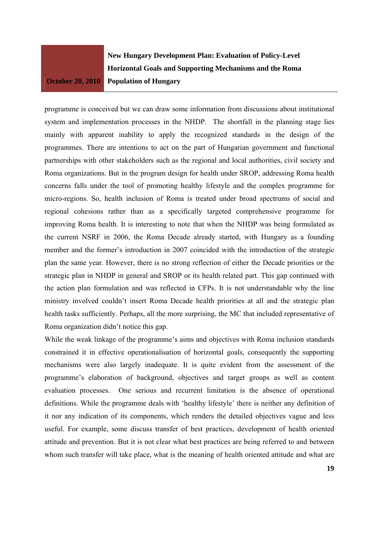**New Hungary Development Plan: Evaluation of Policy-Level Horizontal Goals and Supporting Mechanisms and the Roma Population of Hungary** 

programme is conceived but we can draw some information from discussions about institutional system and implementation processes in the NHDP. The shortfall in the planning stage lies mainly with apparent inability to apply the recognized standards in the design of the programmes. There are intentions to act on the part of Hungarian government and functional partnerships with other stakeholders such as the regional and local authorities, civil society and Roma organizations. But in the program design for health under SROP, addressing Roma health concerns falls under the tool of promoting healthy lifestyle and the complex programme for micro-regions. So, health inclusion of Roma is treated under broad spectrums of social and regional cohesions rather than as a specifically targeted comprehensive programme for improving Roma health. It is interesting to note that when the NHDP was being formulated as the current NSRF in 2006, the Roma Decade already started, with Hungary as a founding member and the former's introduction in 2007 coincided with the introduction of the strategic plan the same year. However, there is no strong reflection of either the Decade priorities or the strategic plan in NHDP in general and SROP or its health related part. This gap continued with the action plan formulation and was reflected in CFPs. It is not understandable why the line ministry involved couldn't insert Roma Decade health priorities at all and the strategic plan health tasks sufficiently. Perhaps, all the more surprising, the MC that included representative of Roma organization didn't notice this gap.

While the weak linkage of the programme's aims and objectives with Roma inclusion standards constrained it in effective operationalisation of horizontal goals, consequently the supporting mechanisms were also largely inadequate. It is quite evident from the assessment of the programme's elaboration of background, objectives and target groups as well as content evaluation processes. One serious and recurrent limitation is the absence of operational definitions. While the programme deals with 'healthy lifestyle' there is neither any definition of it nor any indication of its components, which renders the detailed objectives vague and less useful. For example, some discuss transfer of best practices, development of health oriented attitude and prevention. But it is not clear what best practices are being referred to and between whom such transfer will take place, what is the meaning of health oriented attitude and what are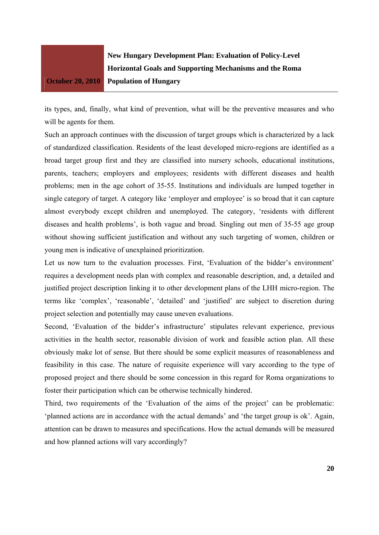

its types, and, finally, what kind of prevention, what will be the preventive measures and who will be agents for them.

Such an approach continues with the discussion of target groups which is characterized by a lack of standardized classification. Residents of the least developed micro-regions are identified as a broad target group first and they are classified into nursery schools, educational institutions, parents, teachers; employers and employees; residents with different diseases and health problems; men in the age cohort of 35-55. Institutions and individuals are lumped together in single category of target. A category like 'employer and employee' is so broad that it can capture almost everybody except children and unemployed. The category, 'residents with different diseases and health problems', is both vague and broad. Singling out men of 35-55 age group without showing sufficient justification and without any such targeting of women, children or young men is indicative of unexplained prioritization.

Let us now turn to the evaluation processes. First, 'Evaluation of the bidder's environment' requires a development needs plan with complex and reasonable description, and, a detailed and justified project description linking it to other development plans of the LHH micro-region. The terms like 'complex', 'reasonable', 'detailed' and 'justified' are subject to discretion during project selection and potentially may cause uneven evaluations.

Second, 'Evaluation of the bidder's infrastructure' stipulates relevant experience, previous activities in the health sector, reasonable division of work and feasible action plan. All these obviously make lot of sense. But there should be some explicit measures of reasonableness and feasibility in this case. The nature of requisite experience will vary according to the type of proposed project and there should be some concession in this regard for Roma organizations to foster their participation which can be otherwise technically hindered.

Third, two requirements of the 'Evaluation of the aims of the project' can be problematic: 'planned actions are in accordance with the actual demands' and 'the target group is ok'. Again, attention can be drawn to measures and specifications. How the actual demands will be measured and how planned actions will vary accordingly?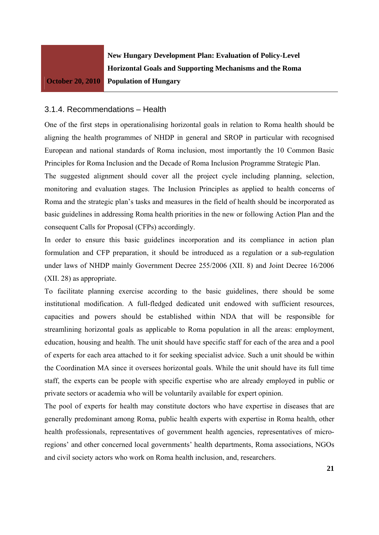

#### 3.1.4. Recommendations – Health

One of the first steps in operationalising horizontal goals in relation to Roma health should be aligning the health programmes of NHDP in general and SROP in particular with recognised European and national standards of Roma inclusion, most importantly the 10 Common Basic Principles for Roma Inclusion and the Decade of Roma Inclusion Programme Strategic Plan.

The suggested alignment should cover all the project cycle including planning, selection, monitoring and evaluation stages. The Inclusion Principles as applied to health concerns of Roma and the strategic plan's tasks and measures in the field of health should be incorporated as basic guidelines in addressing Roma health priorities in the new or following Action Plan and the consequent Calls for Proposal (CFPs) accordingly.

In order to ensure this basic guidelines incorporation and its compliance in action plan formulation and CFP preparation, it should be introduced as a regulation or a sub-regulation under laws of NHDP mainly Government Decree 255/2006 (XII. 8) and Joint Decree 16/2006 (XII. 28) as appropriate.

To facilitate planning exercise according to the basic guidelines, there should be some institutional modification. A full-fledged dedicated unit endowed with sufficient resources, capacities and powers should be established within NDA that will be responsible for streamlining horizontal goals as applicable to Roma population in all the areas: employment, education, housing and health. The unit should have specific staff for each of the area and a pool of experts for each area attached to it for seeking specialist advice. Such a unit should be within the Coordination MA since it oversees horizontal goals. While the unit should have its full time staff, the experts can be people with specific expertise who are already employed in public or private sectors or academia who will be voluntarily available for expert opinion.

The pool of experts for health may constitute doctors who have expertise in diseases that are generally predominant among Roma, public health experts with expertise in Roma health, other health professionals, representatives of government health agencies, representatives of microregions' and other concerned local governments' health departments, Roma associations, NGOs and civil society actors who work on Roma health inclusion, and, researchers.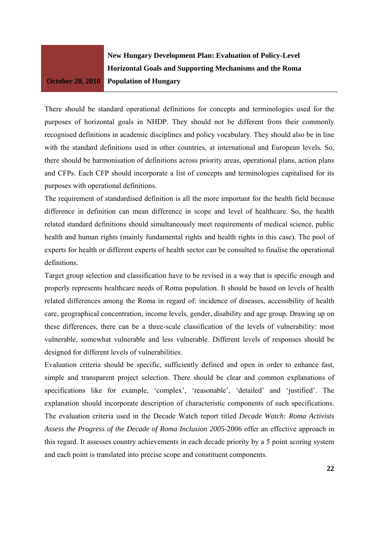**New Hungary Development Plan: Evaluation of Policy-Level Horizontal Goals and Supporting Mechanisms and the Roma Population of Hungary** 

There should be standard operational definitions for concepts and terminologies used for the purposes of horizontal goals in NHDP. They should not be different from their commonly recognised definitions in academic disciplines and policy vocabulary. They should also be in line with the standard definitions used in other countries, at international and European levels. So, there should be harmonisation of definitions across priority areas, operational plans, action plans and CFPs. Each CFP should incorporate a list of concepts and terminologies capitalised for its purposes with operational definitions.

The requirement of standardised definition is all the more important for the health field because difference in definition can mean difference in scope and level of healthcare. So, the health related standard definitions should simultaneously meet requirements of medical science, public health and human rights (mainly fundamental rights and health rights in this case). The pool of experts for health or different experts of health sector can be consulted to finalise the operational definitions.

Target group selection and classification have to be revised in a way that is specific enough and properly represents healthcare needs of Roma population. It should be based on levels of health related differences among the Roma in regard of: incidence of diseases, accessibility of health care, geographical concentration, income levels, gender, disability and age group. Drawing up on these differences, there can be a three-scale classification of the levels of vulnerability: most vulnerable, somewhat vulnerable and less vulnerable. Different levels of responses should be designed for different levels of vulnerabilities.

Evaluation criteria should be specific, sufficiently defined and open in order to enhance fast, simple and transparent project selection. There should be clear and common explanations of specifications like for example, 'complex', 'reasonable', 'detailed' and 'justified'. The explanation should incorporate description of characteristic components of such specifications. The evaluation criteria used in the Decade Watch report titled *Decade Watch: Roma Activists Assess the Progress of the Decade of Roma Inclusion 2005-*2006 offer an effective approach in this regard. It assesses country achievements in each decade priority by a 5 point scoring system and each point is translated into precise scope and constituent components.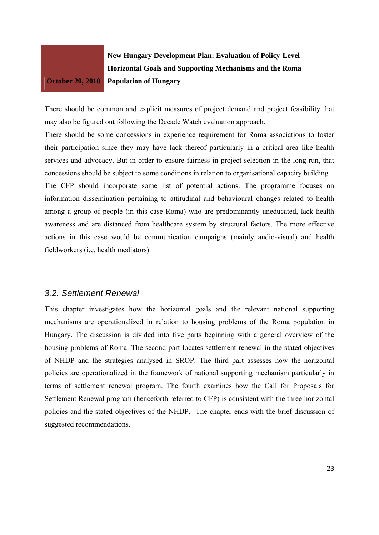**New Hungary Development Plan: Evaluation of Policy-Level Horizontal Goals and Supporting Mechanisms and the Roma Population of Hungary** 

There should be common and explicit measures of project demand and project feasibility that may also be figured out following the Decade Watch evaluation approach.

There should be some concessions in experience requirement for Roma associations to foster their participation since they may have lack thereof particularly in a critical area like health services and advocacy. But in order to ensure fairness in project selection in the long run, that concessions should be subject to some conditions in relation to organisational capacity building The CFP should incorporate some list of potential actions. The programme focuses on information dissemination pertaining to attitudinal and behavioural changes related to health among a group of people (in this case Roma) who are predominantly uneducated, lack health awareness and are distanced from healthcare system by structural factors. The more effective actions in this case would be communication campaigns (mainly audio-visual) and health fieldworkers (i.e. health mediators).

## *3.2. Settlement Renewal*

This chapter investigates how the horizontal goals and the relevant national supporting mechanisms are operationalized in relation to housing problems of the Roma population in Hungary. The discussion is divided into five parts beginning with a general overview of the housing problems of Roma. The second part locates settlement renewal in the stated objectives of NHDP and the strategies analysed in SROP. The third part assesses how the horizontal policies are operationalized in the framework of national supporting mechanism particularly in terms of settlement renewal program. The fourth examines how the Call for Proposals for Settlement Renewal program (henceforth referred to CFP) is consistent with the three horizontal policies and the stated objectives of the NHDP. The chapter ends with the brief discussion of suggested recommendations.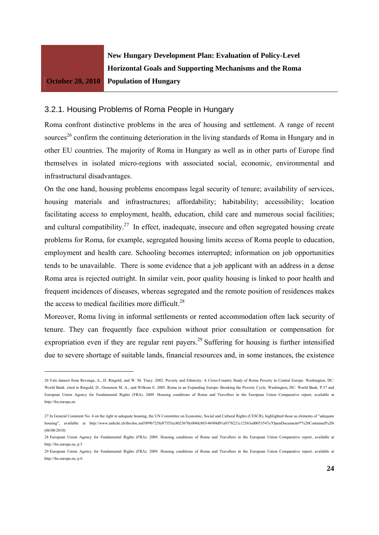

**New Hungary Development Plan: Evaluation of Policy-Level Horizontal Goals and Supporting Mechanisms and the Roma Population of Hungary** 

#### 3.2.1. Housing Problems of Roma People in Hungary

Roma confront distinctive problems in the area of housing and settlement. A range of recent sources<sup>26</sup> confirm the continuing deterioration in the living standards of Roma in Hungary and in other EU countries. The majority of Roma in Hungary as well as in other parts of Europe find themselves in isolated micro-regions with associated social, economic, environmental and infrastructural disadvantages.

On the one hand, housing problems encompass legal security of tenure; availability of services, housing materials and infrastructures; affordability; habitability; accessibility; location facilitating access to employment, health, education, child care and numerous social facilities; and cultural compatibility.<sup>27</sup> In effect, inadequate, insecure and often segregated housing create problems for Roma, for example, segregated housing limits access of Roma people to education, employment and health care. Schooling becomes interrupted; information on job opportunities tends to be unavailable. There is some evidence that a job applicant with an address in a dense Roma area is rejected outright. In similar vein, poor quality housing is linked to poor health and frequent incidences of diseases, whereas segregated and the remote position of residences makes the access to medical facilities more difficult.<sup>28</sup>

Moreover, Roma living in informal settlements or rented accommodation often lack security of tenure. They can frequently face expulsion without prior consultation or compensation for expropriation even if they are regular rent payers.<sup>29</sup> Suffering for housing is further intensified due to severe shortage of suitable lands, financial resources and, in some instances, the existence

<sup>26</sup> Yale dataset from Revenga, A., D. Ringold, and W. M. Tracy. 2002. Poverty and Ethnicity: A Cross-Country Study of Roma Poverty in Central Europe. Washington, DC: World Bank. cited in Ringold, D., Orenstein M. A., and Wilkens E. 2005. Roma in an Expanding Europe: Breaking the Poverty Cycle. Washington, DC: World Bank. P.37 and European Union Agency for Fundamental Rights (FRA). 2009. Housing conditions of Roma and Travellers in the European Union Comparative report, available at http://fra.europa.eu

<sup>27</sup> In General Comment No. 4 on the right to adequate housing, the UN Committee on Economic, Social and Cultural Rights (CESCR), highlighted those as elements of "adequate housing", available at http://www.unhchr.ch/tbs/doc.nsf/099b725fe87555ec8025670c004fc803/469f4d91a9378221c12563ed0053547e?OpenDocument#\*%20Contained%20i (06/08/2010)

<sup>28</sup> European Union Agency for Fundamental Rights (FRA). 2009. Housing conditions of Roma and Travellers in the European Union Comparative report, available at http://fra.europa.eu. p.5.

<sup>29</sup> European Union Agency for Fundamental Rights (FRA). 2009. Housing conditions of Roma and Travellers in the European Union Comparative report, available at http://fra.europa.eu, p.6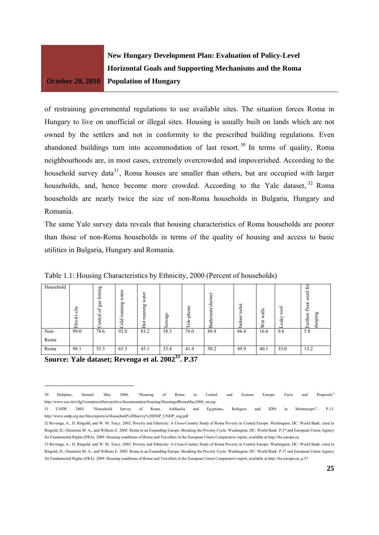

of restraining governmental regulations to use available sites. The situation forces Roma in Hungary to live on unofficial or illegal sites. Housing is usually built on lands which are not owned by the settlers and not in conformity to the prescribed building regulations. Even abandoned buildings turn into accommodation of last resort.<sup>30</sup> In terms of quality, Roma neighbourhoods are, in most cases, extremely overcrowded and impoverished. According to the household survey data<sup>31</sup>, Roma houses are smaller than others, but are occupied with larger households, and, hence become more crowded. According to the Yale dataset, <sup>32</sup> Roma households are nearly twice the size of non-Roma households in Bulgaria, Hungary and Romania.

The same Yale survey data reveals that housing characteristics of Roma households are poorer than those of non-Roma households in terms of the quality of housing and access to basic utilities in Bulgaria, Hungary and Romania.

| Household | city<br>Electri | hitting<br>gas<br>ď<br>entral | water<br>gummu<br>┶<br>Dold | water<br>running<br>Hot | Sewage         | -phone<br>Гele. | ৯<br>sho<br>Ξ<br>Bathr | toilet<br>Indo | $\sigma$<br>⊨<br>$\mathfrak{a}$<br>ō<br>⋧ | roof<br>eaky | £<br>used<br>floor<br>sleeping<br>Earthen |
|-----------|-----------------|-------------------------------|-----------------------------|-------------------------|----------------|-----------------|------------------------|----------------|-------------------------------------------|--------------|-------------------------------------------|
| Non-      | 99.0            | 78.6                          | 92.0                        | 83.2                    | 58.3           | 76.0            | 88.8                   | 86.4           | 16.6                                      | 9.6          | 5.8                                       |
| Roma      |                 |                               |                             |                         |                |                 |                        |                |                                           |              |                                           |
| Roma      | 98.1            | 35.3                          | 65.3                        | 45.1                    | 33.4<br>$\sim$ | 41.4            | 50.2                   | 49.9           | 40.1                                      | 33.0         | 13.2                                      |

Table 1.1: Housing Characteristics by Ethnicity, 2000 (Percent of households)

**Source: Yale dataset: Revenga et al. 2002<sup>33</sup>, P.37** 

<sup>30</sup> Delépine, Samuel. May 2006. "Housing of Roma in Central and Eastern Europe: Facts and Proposals" http://www.coe.int/t/dg3/romatravellers/archive/documentation/housing/HousingofRomaMay2006\_en.asp

<sup>31</sup> UNDP. 2003. "Household Survey of Roma, Ashkaelia and Egyptians, Refugees and IDPs in Montenegro". P.15. http://www.undp.org.me/files/reports/si/Household%20Survey%20ISSP\_UNDP\_eng.pdf

<sup>32</sup> Revenga, A., D. Ringold, and W. M. Tracy. 2002. Poverty and Ethnicity: A Cross-Country Study of Roma Poverty in Central Europe. Washington, DC: World Bank. cited in Ringold, D., Orenstein M. A., and Wilkens E. 2005. Roma in an Expanding Europe: Breaking the Poverty Cycle. Washington, DC: World Bank. P.37 and European Union Agency for Fundamental Rights (FRA). 2009. Housing conditions of Roma and Travellers in the European Union Comparative report, available at http://fra.europa.eu<br>33 Revensa A D Rinsold and W M Tracy 2002 Poverty and Ethnicity: A C

Ringold, D., Orenstein M. A., and Wilkens E. 2005. Roma in an Expanding Europe: Breaking the Poverty Cycle. Washington, DC: World Bank. P.37 and European Union Agency for Fundamental Rights (FRA). 2009. Housing conditions of Roma and Travellers in the European Union Comparative report, available at http://fra.europa.eu, p.37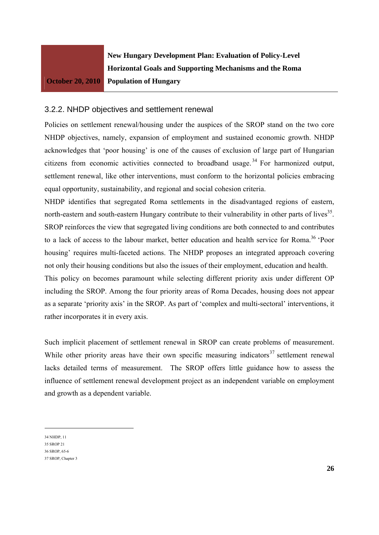

#### 3.2.2. NHDP objectives and settlement renewal

Policies on settlement renewal/housing under the auspices of the SROP stand on the two core NHDP objectives, namely, expansion of employment and sustained economic growth. NHDP acknowledges that 'poor housing' is one of the causes of exclusion of large part of Hungarian citizens from economic activities connected to broadband usage.<sup>34</sup> For harmonized output, settlement renewal, like other interventions, must conform to the horizontal policies embracing equal opportunity, sustainability, and regional and social cohesion criteria.

NHDP identifies that segregated Roma settlements in the disadvantaged regions of eastern, north-eastern and south-eastern Hungary contribute to their vulnerability in other parts of lives<sup>35</sup>. SROP reinforces the view that segregated living conditions are both connected to and contributes to a lack of access to the labour market, better education and health service for Roma.<sup>36</sup> 'Poor housing' requires multi-faceted actions. The NHDP proposes an integrated approach covering not only their housing conditions but also the issues of their employment, education and health.

This policy on becomes paramount while selecting different priority axis under different OP including the SROP. Among the four priority areas of Roma Decades, housing does not appear as a separate 'priority axis' in the SROP. As part of 'complex and multi-sectoral' interventions, it rather incorporates it in every axis.

Such implicit placement of settlement renewal in SROP can create problems of measurement. While other priority areas have their own specific measuring indicators $37$  settlement renewal lacks detailed terms of measurement. The SROP offers little guidance how to assess the influence of settlement renewal development project as an independent variable on employment and growth as a dependent variable.

<sup>34</sup> NHDP, 11

<sup>35</sup> SROP 21

<sup>36</sup> SROP, 65-6

<sup>37</sup> SROP, Chapter 3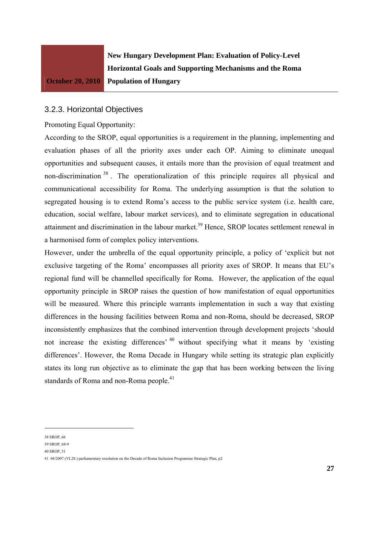

### 3.2.3. Horizontal Objectives

Promoting Equal Opportunity:

According to the SROP, equal opportunities is a requirement in the planning, implementing and evaluation phases of all the priority axes under each OP. Aiming to eliminate unequal opportunities and subsequent causes, it entails more than the provision of equal treatment and non-discrimination <sup>38</sup> . The operationalization of this principle requires all physical and communicational accessibility for Roma. The underlying assumption is that the solution to segregated housing is to extend Roma's access to the public service system (i.e. health care, education, social welfare, labour market services), and to eliminate segregation in educational attainment and discrimination in the labour market.<sup>39</sup> Hence, SROP locates settlement renewal in a harmonised form of complex policy interventions.

However, under the umbrella of the equal opportunity principle, a policy of 'explicit but not exclusive targeting of the Roma' encompasses all priority axes of SROP. It means that EU's regional fund will be channelled specifically for Roma. However, the application of the equal opportunity principle in SROP raises the question of how manifestation of equal opportunities will be measured. Where this principle warrants implementation in such a way that existing differences in the housing facilities between Roma and non-Roma, should be decreased, SROP inconsistently emphasizes that the combined intervention through development projects 'should not increase the existing differences' 40 without specifying what it means by 'existing differences'. However, the Roma Decade in Hungary while setting its strategic plan explicitly states its long run objective as to eliminate the gap that has been working between the living standards of Roma and non-Roma people.<sup>41</sup>

<sup>38</sup> SROP, 66

<sup>39</sup> SROP, 68-9

<sup>40</sup> SROP, 51

<sup>41 68/2007 (</sup>VI.28.) parliamentary resolution on the Decade of Roma Inclusion Programme Strategic Plan, p2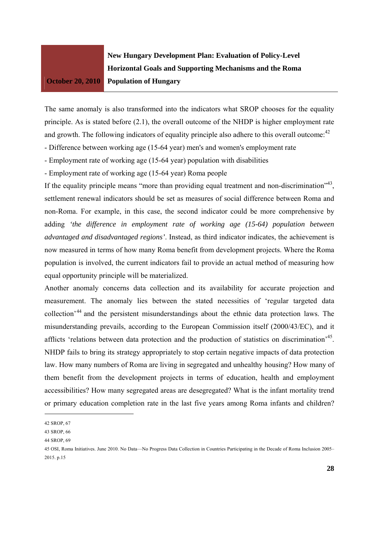

The same anomaly is also transformed into the indicators what SROP chooses for the equality principle. As is stated before (2.1), the overall outcome of the NHDP is higher employment rate and growth. The following indicators of equality principle also adhere to this overall outcome: $42$ 

- Difference between working age (15-64 year) men's and women's employment rate
- Employment rate of working age (15-64 year) population with disabilities
- Employment rate of working age (15-64 year) Roma people

If the equality principle means "more than providing equal treatment and non-discrimination"<sup>43</sup>, settlement renewal indicators should be set as measures of social difference between Roma and non-Roma. For example, in this case, the second indicator could be more comprehensive by adding *'the difference in employment rate of working age (15-64) population between advantaged and disadvantaged regions'*. Instead, as third indicator indicates, the achievement is now measured in terms of how many Roma benefit from development projects. Where the Roma population is involved, the current indicators fail to provide an actual method of measuring how equal opportunity principle will be materialized.

Another anomaly concerns data collection and its availability for accurate projection and measurement. The anomaly lies between the stated necessities of 'regular targeted data collection'44 and the persistent misunderstandings about the ethnic data protection laws. The misunderstanding prevails, according to the European Commission itself (2000/43/EC), and it afflicts 'relations between data protection and the production of statistics on discrimination<sup>345</sup>. NHDP fails to bring its strategy appropriately to stop certain negative impacts of data protection law. How many numbers of Roma are living in segregated and unhealthy housing? How many of them benefit from the development projects in terms of education, health and employment accessibilities? How many segregated areas are desegregated? What is the infant mortality trend or primary education completion rate in the last five years among Roma infants and children?

<sup>42</sup> SROP, 67

<sup>43</sup> SROP, 66

<sup>44</sup> SROP, 69

<sup>45</sup> OSI, Roma Initiatives. June 2010. No Data—No Progress Data Collection in Countries Participating in the Decade of Roma Inclusion 2005– 2015. p.15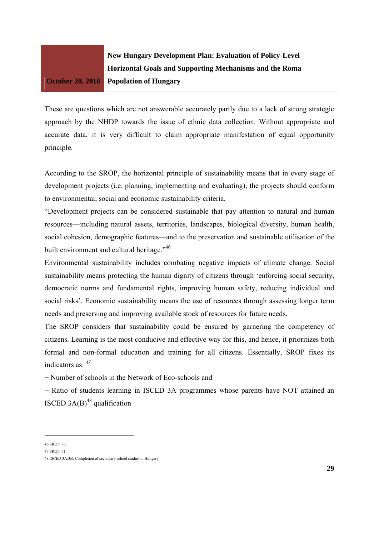

These are questions which are not answerable accurately partly due to a lack of strong strategic approach by the NHDP towards the issue of ethnic data collection. Without appropriate and accurate data, it is very difficult to claim appropriate manifestation of equal opportunity principle.

According to the SROP, the horizontal principle of sustainability means that in every stage of development projects (i.e. planning, implementing and evaluating), the projects should conform to environmental, social and economic sustainability criteria.

"Development projects can be considered sustainable that pay attention to natural and human resources—including natural assets, territories, landscapes, biological diversity, human health, social cohesion, demographic features—and to the preservation and sustainable utilisation of the built environment and cultural heritage."<sup>46</sup>

Environmental sustainability includes combating negative impacts of climate change. Social sustainability means protecting the human dignity of citizens through 'enforcing social security, democratic norms and fundamental rights, improving human safety, reducing individual and social risks'. Economic sustainability means the use of resources through assessing longer term needs and preserving and improving available stock of resources for future needs.

The SROP considers that sustainability could be ensured by garnering the competency of citizens. Learning is the most conducive and effective way for this, and hence, it prioritizes both formal and non-formal education and training for all citizens. Essentially, SROP fixes its indicators as: *<sup>47</sup>*

− Number of schools in the Network of Eco-schools and

− Ratio of students learning in ISCED 3A programmes whose parents have NOT attained an ISCED  $3A(B)^{48}$  qualification

<sup>46</sup> SROP, 70

<sup>47</sup> SROP, 71

<sup>48</sup> ISCED 3A/3B: Completion of secondary school studies in Hungary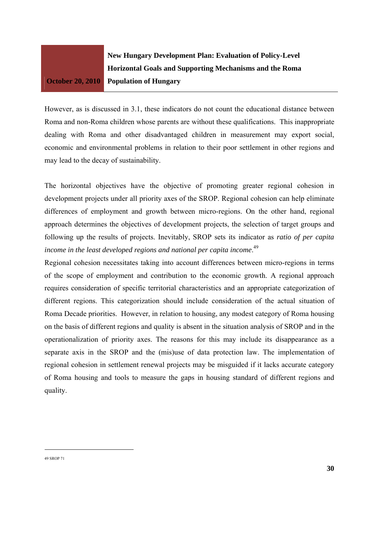

However, as is discussed in 3.1, these indicators do not count the educational distance between Roma and non-Roma children whose parents are without these qualifications. This inappropriate dealing with Roma and other disadvantaged children in measurement may export social, economic and environmental problems in relation to their poor settlement in other regions and may lead to the decay of sustainability.

The horizontal objectives have the objective of promoting greater regional cohesion in development projects under all priority axes of the SROP. Regional cohesion can help eliminate differences of employment and growth between micro-regions. On the other hand, regional approach determines the objectives of development projects, the selection of target groups and following up the results of projects. Inevitably, SROP sets its indicator as *ratio of per capita income in the least developed regions and national per capita income*. 49

Regional cohesion necessitates taking into account differences between micro-regions in terms of the scope of employment and contribution to the economic growth. A regional approach requires consideration of specific territorial characteristics and an appropriate categorization of different regions. This categorization should include consideration of the actual situation of Roma Decade priorities. However, in relation to housing, any modest category of Roma housing on the basis of different regions and quality is absent in the situation analysis of SROP and in the operationalization of priority axes. The reasons for this may include its disappearance as a separate axis in the SROP and the (mis)use of data protection law. The implementation of regional cohesion in settlement renewal projects may be misguided if it lacks accurate category of Roma housing and tools to measure the gaps in housing standard of different regions and quality.

<sup>49</sup> SROP 71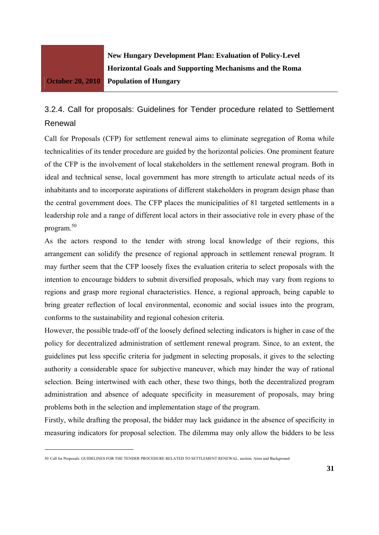

**New Hungary Development Plan: Evaluation of Policy-Level Horizontal Goals and Supporting Mechanisms and the Roma Population of Hungary** 

## 3.2.4. Call for proposals: Guidelines for Tender procedure related to Settlement Renewal

Call for Proposals (CFP) for settlement renewal aims to eliminate segregation of Roma while technicalities of its tender procedure are guided by the horizontal policies. One prominent feature of the CFP is the involvement of local stakeholders in the settlement renewal program. Both in ideal and technical sense, local government has more strength to articulate actual needs of its inhabitants and to incorporate aspirations of different stakeholders in program design phase than the central government does. The CFP places the municipalities of 81 targeted settlements in a leadership role and a range of different local actors in their associative role in every phase of the program.50

As the actors respond to the tender with strong local knowledge of their regions, this arrangement can solidify the presence of regional approach in settlement renewal program. It may further seem that the CFP loosely fixes the evaluation criteria to select proposals with the intention to encourage bidders to submit diversified proposals, which may vary from regions to regions and grasp more regional characteristics. Hence, a regional approach, being capable to bring greater reflection of local environmental, economic and social issues into the program, conforms to the sustainability and regional cohesion criteria.

However, the possible trade-off of the loosely defined selecting indicators is higher in case of the policy for decentralized administration of settlement renewal program. Since, to an extent, the guidelines put less specific criteria for judgment in selecting proposals, it gives to the selecting authority a considerable space for subjective maneuver, which may hinder the way of rational selection. Being intertwined with each other, these two things, both the decentralized program administration and absence of adequate specificity in measurement of proposals, may bring problems both in the selection and implementation stage of the program.

Firstly, while drafting the proposal, the bidder may lack guidance in the absence of specificity in measuring indicators for proposal selection. The dilemma may only allow the bidders to be less

<sup>50</sup> Call for Proposals: GUIDELINES FOR THE TENDER PROCEDURE RELATED TO SETTLEMENT RENEWAL. section: Aims and Background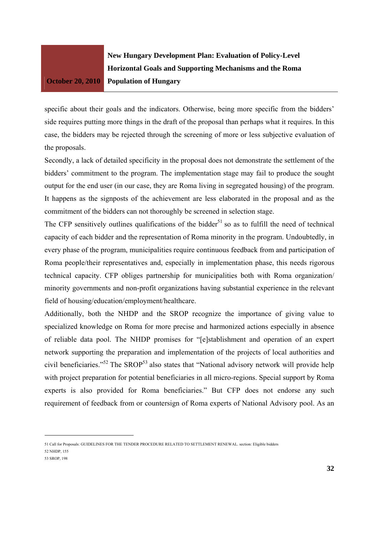**New Hungary Development Plan: Evaluation of Policy-Level Horizontal Goals and Supporting Mechanisms and the Roma Population of Hungary** 

specific about their goals and the indicators. Otherwise, being more specific from the bidders' side requires putting more things in the draft of the proposal than perhaps what it requires. In this case, the bidders may be rejected through the screening of more or less subjective evaluation of the proposals.

Secondly, a lack of detailed specificity in the proposal does not demonstrate the settlement of the bidders' commitment to the program. The implementation stage may fail to produce the sought output for the end user (in our case, they are Roma living in segregated housing) of the program. It happens as the signposts of the achievement are less elaborated in the proposal and as the commitment of the bidders can not thoroughly be screened in selection stage.

The CFP sensitively outlines qualifications of the bidder<sup>51</sup> so as to fulfill the need of technical capacity of each bidder and the representation of Roma minority in the program. Undoubtedly, in every phase of the program, municipalities require continuous feedback from and participation of Roma people/their representatives and, especially in implementation phase, this needs rigorous technical capacity. CFP obliges partnership for municipalities both with Roma organization/ minority governments and non-profit organizations having substantial experience in the relevant field of housing/education/employment/healthcare.

Additionally, both the NHDP and the SROP recognize the importance of giving value to specialized knowledge on Roma for more precise and harmonized actions especially in absence of reliable data pool. The NHDP promises for "[e]stablishment and operation of an expert network supporting the preparation and implementation of the projects of local authorities and civil beneficiaries."<sup>52</sup> The SROP<sup>53</sup> also states that "National advisory network will provide help with project preparation for potential beneficiaries in all micro-regions. Special support by Roma experts is also provided for Roma beneficiaries." But CFP does not endorse any such requirement of feedback from or countersign of Roma experts of National Advisory pool. As an

51 Call for Proposals: GUIDELINES FOR THE TENDER PROCEDURE RELATED TO SETTLEMENT RENEWAL. section: Eligible bidders

52 NHDP, 155

53 SROP, 198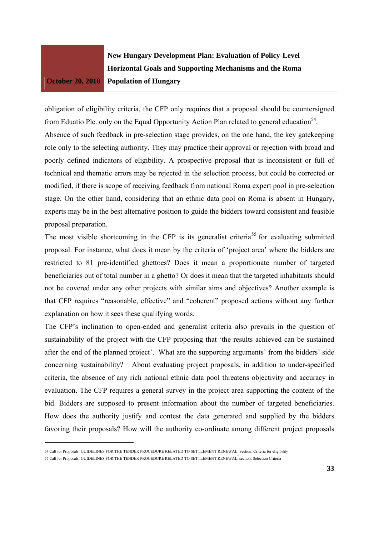**New Hungary Development Plan: Evaluation of Policy-Level Horizontal Goals and Supporting Mechanisms and the Roma Population of Hungary** 

obligation of eligibility criteria, the CFP only requires that a proposal should be countersigned from Eduatio Plc. only on the Equal Opportunity Action Plan related to general education<sup>54</sup>. Absence of such feedback in pre-selection stage provides, on the one hand, the key gatekeeping role only to the selecting authority. They may practice their approval or rejection with broad and poorly defined indicators of eligibility. A prospective proposal that is inconsistent or full of technical and thematic errors may be rejected in the selection process, but could be corrected or modified, if there is scope of receiving feedback from national Roma expert pool in pre-selection stage. On the other hand, considering that an ethnic data pool on Roma is absent in Hungary, experts may be in the best alternative position to guide the bidders toward consistent and feasible proposal preparation.

The most visible shortcoming in the CFP is its generalist criteria<sup>55</sup> for evaluating submitted proposal. For instance, what does it mean by the criteria of 'project area' where the bidders are restricted to 81 pre-identified ghettoes? Does it mean a proportionate number of targeted beneficiaries out of total number in a ghetto? Or does it mean that the targeted inhabitants should not be covered under any other projects with similar aims and objectives? Another example is that CFP requires "reasonable, effective" and "coherent" proposed actions without any further explanation on how it sees these qualifying words.

The CFP's inclination to open-ended and generalist criteria also prevails in the question of sustainability of the project with the CFP proposing that 'the results achieved can be sustained after the end of the planned project'. What are the supporting arguments' from the bidders' side concerning sustainability? About evaluating project proposals, in addition to under-specified criteria, the absence of any rich national ethnic data pool threatens objectivity and accuracy in evaluation. The CFP requires a general survey in the project area supporting the content of the bid. Bidders are supposed to present information about the number of targeted beneficiaries. How does the authority justify and contest the data generated and supplied by the bidders favoring their proposals? How will the authority co-ordinate among different project proposals

<sup>54</sup> Call for Proposals: GUIDELINES FOR THE TENDER PROCEDURE RELATED TO SETTLEMENT RENEWAL. section: Criteria for eligibility 55 Call for Proposals: GUIDELINES FOR THE TENDER PROCEDURE RELATED TO SETTLEMENT RENEWAL. section: Selection Criteria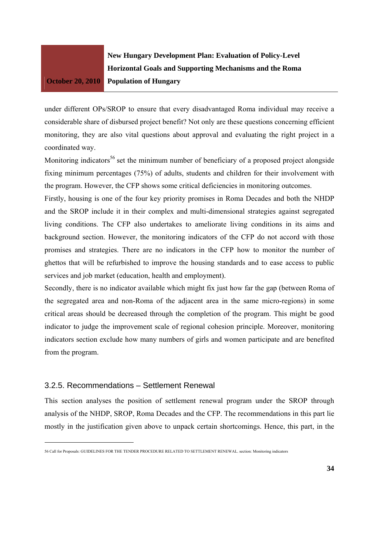

under different OPs/SROP to ensure that every disadvantaged Roma individual may receive a considerable share of disbursed project benefit? Not only are these questions concerning efficient monitoring, they are also vital questions about approval and evaluating the right project in a coordinated way.

Monitoring indicators<sup>56</sup> set the minimum number of beneficiary of a proposed project alongside fixing minimum percentages (75%) of adults, students and children for their involvement with the program. However, the CFP shows some critical deficiencies in monitoring outcomes.

Firstly, housing is one of the four key priority promises in Roma Decades and both the NHDP and the SROP include it in their complex and multi-dimensional strategies against segregated living conditions. The CFP also undertakes to ameliorate living conditions in its aims and background section. However, the monitoring indicators of the CFP do not accord with those promises and strategies. There are no indicators in the CFP how to monitor the number of ghettos that will be refurbished to improve the housing standards and to ease access to public services and job market (education, health and employment).

Secondly, there is no indicator available which might fix just how far the gap (between Roma of the segregated area and non-Roma of the adjacent area in the same micro-regions) in some critical areas should be decreased through the completion of the program. This might be good indicator to judge the improvement scale of regional cohesion principle. Moreover, monitoring indicators section exclude how many numbers of girls and women participate and are benefited from the program.

#### 3.2.5. Recommendations – Settlement Renewal

This section analyses the position of settlement renewal program under the SROP through analysis of the NHDP, SROP, Roma Decades and the CFP. The recommendations in this part lie mostly in the justification given above to unpack certain shortcomings. Hence, this part, in the

<sup>56</sup> Call for Proposals: GUIDELINES FOR THE TENDER PROCEDURE RELATED TO SETTLEMENT RENEWAL. section: Monitoring indicators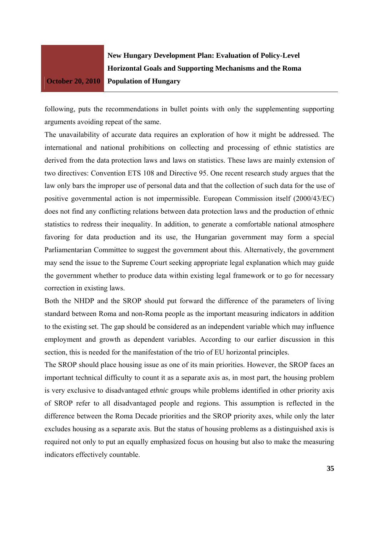**New Hungary Development Plan: Evaluation of Policy-Level Horizontal Goals and Supporting Mechanisms and the Roma Population of Hungary** 

following, puts the recommendations in bullet points with only the supplementing supporting arguments avoiding repeat of the same.

The unavailability of accurate data requires an exploration of how it might be addressed. The international and national prohibitions on collecting and processing of ethnic statistics are derived from the data protection laws and laws on statistics. These laws are mainly extension of two directives: Convention ETS 108 and Directive 95. One recent research study argues that the law only bars the improper use of personal data and that the collection of such data for the use of positive governmental action is not impermissible. European Commission itself (2000/43/EC) does not find any conflicting relations between data protection laws and the production of ethnic statistics to redress their inequality. In addition, to generate a comfortable national atmosphere favoring for data production and its use, the Hungarian government may form a special Parliamentarian Committee to suggest the government about this. Alternatively, the government may send the issue to the Supreme Court seeking appropriate legal explanation which may guide the government whether to produce data within existing legal framework or to go for necessary correction in existing laws.

Both the NHDP and the SROP should put forward the difference of the parameters of living standard between Roma and non-Roma people as the important measuring indicators in addition to the existing set. The gap should be considered as an independent variable which may influence employment and growth as dependent variables. According to our earlier discussion in this section, this is needed for the manifestation of the trio of EU horizontal principles.

The SROP should place housing issue as one of its main priorities. However, the SROP faces an important technical difficulty to count it as a separate axis as, in most part, the housing problem is very exclusive to disadvantaged *ethnic* groups while problems identified in other priority axis of SROP refer to all disadvantaged people and regions. This assumption is reflected in the difference between the Roma Decade priorities and the SROP priority axes, while only the later excludes housing as a separate axis. But the status of housing problems as a distinguished axis is required not only to put an equally emphasized focus on housing but also to make the measuring indicators effectively countable.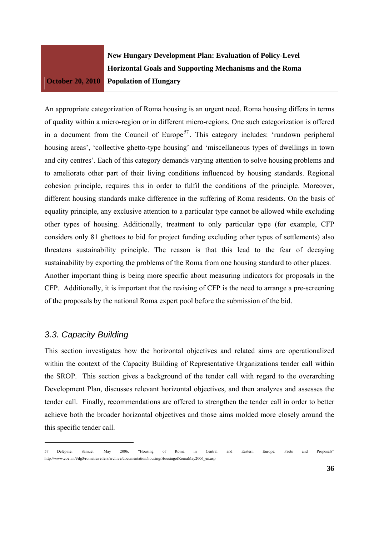**New Hungary Development Plan: Evaluation of Policy-Level Horizontal Goals and Supporting Mechanisms and the Roma Population of Hungary** 

An appropriate categorization of Roma housing is an urgent need. Roma housing differs in terms of quality within a micro-region or in different micro-regions. One such categorization is offered in a document from the Council of Europe<sup>57</sup>. This category includes: 'rundown peripheral housing areas', 'collective ghetto-type housing' and 'miscellaneous types of dwellings in town and city centres'. Each of this category demands varying attention to solve housing problems and to ameliorate other part of their living conditions influenced by housing standards. Regional cohesion principle, requires this in order to fulfil the conditions of the principle. Moreover, different housing standards make difference in the suffering of Roma residents. On the basis of equality principle, any exclusive attention to a particular type cannot be allowed while excluding other types of housing. Additionally, treatment to only particular type (for example, CFP considers only 81 ghettoes to bid for project funding excluding other types of settlements) also threatens sustainability principle. The reason is that this lead to the fear of decaying sustainability by exporting the problems of the Roma from one housing standard to other places. Another important thing is being more specific about measuring indicators for proposals in the CFP. Additionally, it is important that the revising of CFP is the need to arrange a pre-screening of the proposals by the national Roma expert pool before the submission of the bid.

## *3.3. Capacity Building*

This section investigates how the horizontal objectives and related aims are operationalized within the context of the Capacity Building of Representative Organizations tender call within the SROP. This section gives a background of the tender call with regard to the overarching Development Plan, discusses relevant horizontal objectives, and then analyzes and assesses the tender call. Finally, recommendations are offered to strengthen the tender call in order to better achieve both the broader horizontal objectives and those aims molded more closely around the this specific tender call.

<sup>57</sup> Delépine, Samuel. May 2006. "Housing of Roma in Central and Eastern Europe: Facts and Proposals" http://www.coe.int/t/dg3/romatravellers/archive/documentation/housing/HousingofRomaMay2006\_en.asp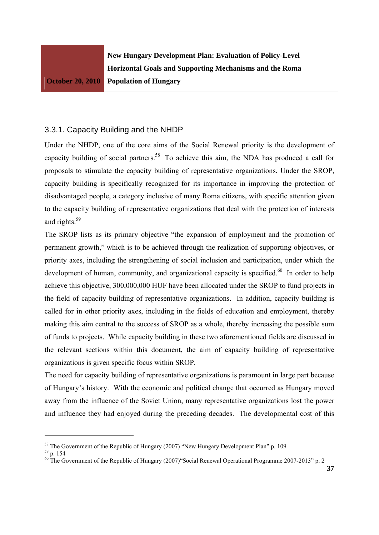## 3.3.1. Capacity Building and the NHDP

Under the NHDP, one of the core aims of the Social Renewal priority is the development of capacity building of social partners.<sup>58</sup> To achieve this aim, the NDA has produced a call for proposals to stimulate the capacity building of representative organizations. Under the SROP, capacity building is specifically recognized for its importance in improving the protection of disadvantaged people, a category inclusive of many Roma citizens, with specific attention given to the capacity building of representative organizations that deal with the protection of interests and rights.59

The SROP lists as its primary objective "the expansion of employment and the promotion of permanent growth," which is to be achieved through the realization of supporting objectives, or priority axes, including the strengthening of social inclusion and participation, under which the development of human, community, and organizational capacity is specified.<sup>60</sup> In order to help achieve this objective, 300,000,000 HUF have been allocated under the SROP to fund projects in the field of capacity building of representative organizations. In addition, capacity building is called for in other priority axes, including in the fields of education and employment, thereby making this aim central to the success of SROP as a whole, thereby increasing the possible sum of funds to projects. While capacity building in these two aforementioned fields are discussed in the relevant sections within this document, the aim of capacity building of representative organizations is given specific focus within SROP.

The need for capacity building of representative organizations is paramount in large part because of Hungary's history. With the economic and political change that occurred as Hungary moved away from the influence of the Soviet Union, many representative organizations lost the power and influence they had enjoyed during the preceding decades. The developmental cost of this

<sup>&</sup>lt;sup>58</sup> The Government of the Republic of Hungary (2007) "New Hungary Development Plan" p. 109

<sup>59</sup> p. 154

 $60$  The Government of the Republic of Hungary (2007) Social Renewal Operational Programme 2007-2013" p. 2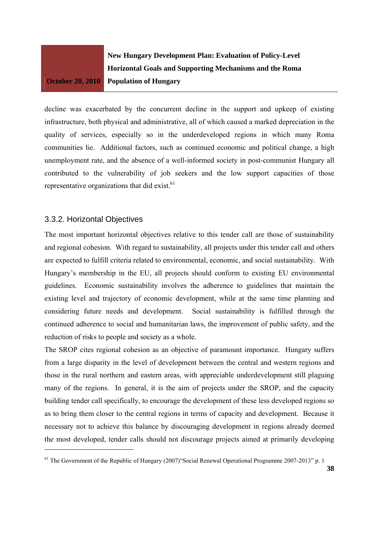**New Hungary Development Plan: Evaluation of Policy-Level Horizontal Goals and Supporting Mechanisms and the Roma Population of Hungary** 

decline was exacerbated by the concurrent decline in the support and upkeep of existing infrastructure, both physical and administrative, all of which caused a marked depreciation in the quality of services, especially so in the underdeveloped regions in which many Roma communities lie. Additional factors, such as continued economic and political change, a high unemployment rate, and the absence of a well-informed society in post-communist Hungary all contributed to the vulnerability of job seekers and the low support capacities of those representative organizations that did exist.<sup>61</sup>

## 3.3.2. Horizontal Objectives

The most important horizontal objectives relative to this tender call are those of sustainability and regional cohesion. With regard to sustainability, all projects under this tender call and others are expected to fulfill criteria related to environmental, economic, and social sustainability. With Hungary's membership in the EU, all projects should conform to existing EU environmental guidelines. Economic sustainability involves the adherence to guidelines that maintain the existing level and trajectory of economic development, while at the same time planning and considering future needs and development. Social sustainability is fulfilled through the continued adherence to social and humanitarian laws, the improvement of public safety, and the reduction of risks to people and society as a whole.

The SROP cites regional cohesion as an objective of paramount importance. Hungary suffers from a large disparity in the level of development between the central and western regions and those in the rural northern and eastern areas, with appreciable underdevelopment still plaguing many of the regions. In general, it is the aim of projects under the SROP, and the capacity building tender call specifically, to encourage the development of these less developed regions so as to bring them closer to the central regions in terms of capacity and development. Because it necessary not to achieve this balance by discouraging development in regions already deemed the most developed, tender calls should not discourage projects aimed at primarily developing

<sup>&</sup>lt;sup>61</sup> The Government of the Republic of Hungary (2007) Social Renewal Operational Programme 2007-2013" p. 1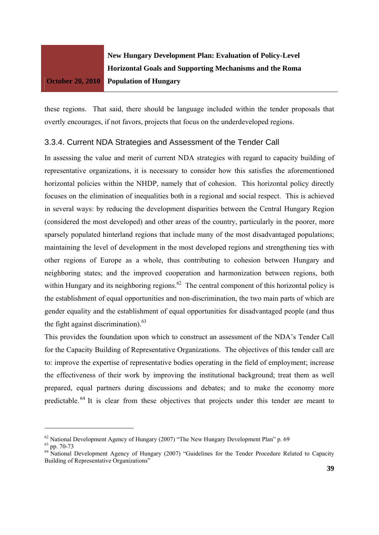

these regions. That said, there should be language included within the tender proposals that overtly encourages, if not favors, projects that focus on the underdeveloped regions.

## 3.3.4. Current NDA Strategies and Assessment of the Tender Call

In assessing the value and merit of current NDA strategies with regard to capacity building of representative organizations, it is necessary to consider how this satisfies the aforementioned horizontal policies within the NHDP, namely that of cohesion. This horizontal policy directly focuses on the elimination of inequalities both in a regional and social respect. This is achieved in several ways: by reducing the development disparities between the Central Hungary Region (considered the most developed) and other areas of the country, particularly in the poorer, more sparsely populated hinterland regions that include many of the most disadvantaged populations; maintaining the level of development in the most developed regions and strengthening ties with other regions of Europe as a whole, thus contributing to cohesion between Hungary and neighboring states; and the improved cooperation and harmonization between regions, both within Hungary and its neighboring regions.<sup>62</sup> The central component of this horizontal policy is the establishment of equal opportunities and non-discrimination, the two main parts of which are gender equality and the establishment of equal opportunities for disadvantaged people (and thus the fight against discrimination). $63$ 

This provides the foundation upon which to construct an assessment of the NDA's Tender Call for the Capacity Building of Representative Organizations. The objectives of this tender call are to: improve the expertise of representative bodies operating in the field of employment; increase the effectiveness of their work by improving the institutional background; treat them as well prepared, equal partners during discussions and debates; and to make the economy more predictable. 64 It is clear from these objectives that projects under this tender are meant to

 $62$  National Development Agency of Hungary (2007) "The New Hungary Development Plan" p. 69

<sup>63</sup> pp. 70-73

<sup>&</sup>lt;sup>64</sup> National Development Agency of Hungary (2007) "Guidelines for the Tender Procedure Related to Capacity Building of Representative Organizations"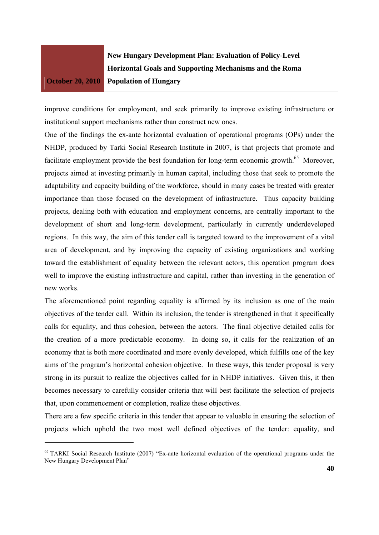**New Hungary Development Plan: Evaluation of Policy-Level Horizontal Goals and Supporting Mechanisms and the Roma Population of Hungary** 

improve conditions for employment, and seek primarily to improve existing infrastructure or institutional support mechanisms rather than construct new ones.

One of the findings the ex-ante horizontal evaluation of operational programs (OPs) under the NHDP, produced by Tarki Social Research Institute in 2007, is that projects that promote and facilitate employment provide the best foundation for long-term economic growth.<sup>65</sup> Moreover, projects aimed at investing primarily in human capital, including those that seek to promote the adaptability and capacity building of the workforce, should in many cases be treated with greater importance than those focused on the development of infrastructure. Thus capacity building projects, dealing both with education and employment concerns, are centrally important to the development of short and long-term development, particularly in currently underdeveloped regions. In this way, the aim of this tender call is targeted toward to the improvement of a vital area of development, and by improving the capacity of existing organizations and working toward the establishment of equality between the relevant actors, this operation program does well to improve the existing infrastructure and capital, rather than investing in the generation of new works.

The aforementioned point regarding equality is affirmed by its inclusion as one of the main objectives of the tender call. Within its inclusion, the tender is strengthened in that it specifically calls for equality, and thus cohesion, between the actors. The final objective detailed calls for the creation of a more predictable economy. In doing so, it calls for the realization of an economy that is both more coordinated and more evenly developed, which fulfills one of the key aims of the program's horizontal cohesion objective. In these ways, this tender proposal is very strong in its pursuit to realize the objectives called for in NHDP initiatives. Given this, it then becomes necessary to carefully consider criteria that will best facilitate the selection of projects that, upon commencement or completion, realize these objectives.

There are a few specific criteria in this tender that appear to valuable in ensuring the selection of projects which uphold the two most well defined objectives of the tender: equality, and

<sup>&</sup>lt;sup>65</sup> TARKI Social Research Institute (2007) "Ex-ante horizontal evaluation of the operational programs under the New Hungary Development Plan"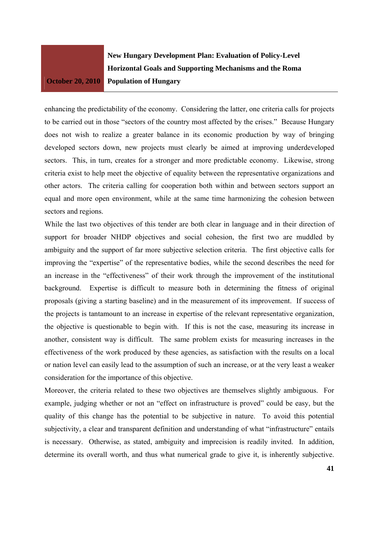**New Hungary Development Plan: Evaluation of Policy-Level Horizontal Goals and Supporting Mechanisms and the Roma Population of Hungary** 

enhancing the predictability of the economy. Considering the latter, one criteria calls for projects to be carried out in those "sectors of the country most affected by the crises." Because Hungary does not wish to realize a greater balance in its economic production by way of bringing developed sectors down, new projects must clearly be aimed at improving underdeveloped sectors. This, in turn, creates for a stronger and more predictable economy. Likewise, strong criteria exist to help meet the objective of equality between the representative organizations and other actors. The criteria calling for cooperation both within and between sectors support an equal and more open environment, while at the same time harmonizing the cohesion between sectors and regions.

While the last two objectives of this tender are both clear in language and in their direction of support for broader NHDP objectives and social cohesion, the first two are muddled by ambiguity and the support of far more subjective selection criteria. The first objective calls for improving the "expertise" of the representative bodies, while the second describes the need for an increase in the "effectiveness" of their work through the improvement of the institutional background. Expertise is difficult to measure both in determining the fitness of original proposals (giving a starting baseline) and in the measurement of its improvement. If success of the projects is tantamount to an increase in expertise of the relevant representative organization, the objective is questionable to begin with. If this is not the case, measuring its increase in another, consistent way is difficult. The same problem exists for measuring increases in the effectiveness of the work produced by these agencies, as satisfaction with the results on a local or nation level can easily lead to the assumption of such an increase, or at the very least a weaker consideration for the importance of this objective.

Moreover, the criteria related to these two objectives are themselves slightly ambiguous. For example, judging whether or not an "effect on infrastructure is proved" could be easy, but the quality of this change has the potential to be subjective in nature. To avoid this potential subjectivity, a clear and transparent definition and understanding of what "infrastructure" entails is necessary. Otherwise, as stated, ambiguity and imprecision is readily invited. In addition, determine its overall worth, and thus what numerical grade to give it, is inherently subjective.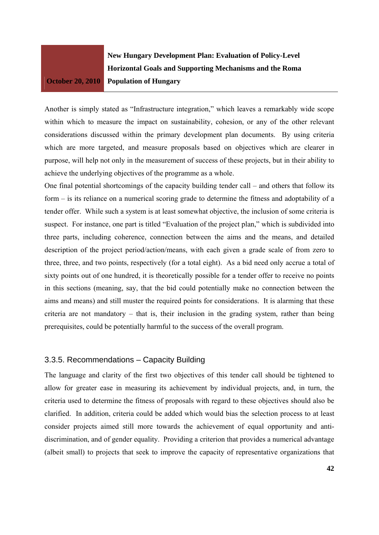**New Hungary Development Plan: Evaluation of Policy-Level Horizontal Goals and Supporting Mechanisms and the Roma Population of Hungary** 

Another is simply stated as "Infrastructure integration," which leaves a remarkably wide scope within which to measure the impact on sustainability, cohesion, or any of the other relevant considerations discussed within the primary development plan documents. By using criteria which are more targeted, and measure proposals based on objectives which are clearer in purpose, will help not only in the measurement of success of these projects, but in their ability to achieve the underlying objectives of the programme as a whole.

One final potential shortcomings of the capacity building tender call – and others that follow its form – is its reliance on a numerical scoring grade to determine the fitness and adoptability of a tender offer. While such a system is at least somewhat objective, the inclusion of some criteria is suspect. For instance, one part is titled "Evaluation of the project plan," which is subdivided into three parts, including coherence, connection between the aims and the means, and detailed description of the project period/action/means, with each given a grade scale of from zero to three, three, and two points, respectively (for a total eight). As a bid need only accrue a total of sixty points out of one hundred, it is theoretically possible for a tender offer to receive no points in this sections (meaning, say, that the bid could potentially make no connection between the aims and means) and still muster the required points for considerations. It is alarming that these criteria are not mandatory – that is, their inclusion in the grading system, rather than being prerequisites, could be potentially harmful to the success of the overall program.

## 3.3.5. Recommendations – Capacity Building

The language and clarity of the first two objectives of this tender call should be tightened to allow for greater ease in measuring its achievement by individual projects, and, in turn, the criteria used to determine the fitness of proposals with regard to these objectives should also be clarified. In addition, criteria could be added which would bias the selection process to at least consider projects aimed still more towards the achievement of equal opportunity and antidiscrimination, and of gender equality. Providing a criterion that provides a numerical advantage (albeit small) to projects that seek to improve the capacity of representative organizations that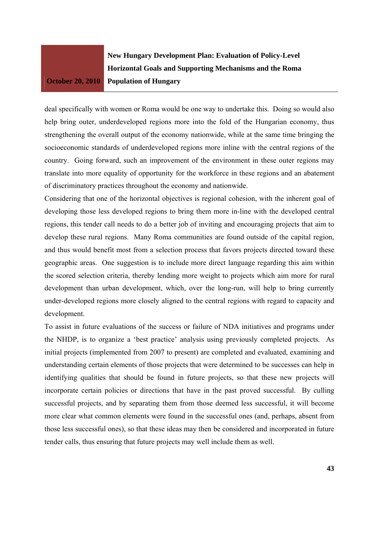**New Hungary Development Plan: Evaluation of Policy-Level Horizontal Goals and Supporting Mechanisms and the Roma Population of Hungary** 

deal specifically with women or Roma would be one way to undertake this. Doing so would also help bring outer, underdeveloped regions more into the fold of the Hungarian economy, thus strengthening the overall output of the economy nationwide, while at the same time bringing the socioeconomic standards of underdeveloped regions more inline with the central regions of the country. Going forward, such an improvement of the environment in these outer regions may translate into more equality of opportunity for the workforce in these regions and an abatement of discriminatory practices throughout the economy and nationwide.

Considering that one of the horizontal objectives is regional cohesion, with the inherent goal of developing those less developed regions to bring them more in-line with the developed central regions, this tender call needs to do a better job of inviting and encouraging projects that aim to develop these rural regions. Many Roma communities are found outside of the capital region, and thus would benefit most from a selection process that favors projects directed toward these geographic areas. One suggestion is to include more direct language regarding this aim within the scored selection criteria, thereby lending more weight to projects which aim more for rural development than urban development, which, over the long-run, will help to bring currently under-developed regions more closely aligned to the central regions with regard to capacity and development.

To assist in future evaluations of the success or failure of NDA initiatives and programs under the NHDP, is to organize a 'best practice' analysis using previously completed projects. As initial projects (implemented from 2007 to present) are completed and evaluated, examining and understanding certain elements of those projects that were determined to be successes can help in identifying qualities that should be found in future projects, so that these new projects will incorporate certain policies or directions that have in the past proved successful. By culling successful projects, and by separating them from those deemed less successful, it will become more clear what common elements were found in the successful ones (and, perhaps, absent from those less successful ones), so that these ideas may then be considered and incorporated in future tender calls, thus ensuring that future projects may well include them as well.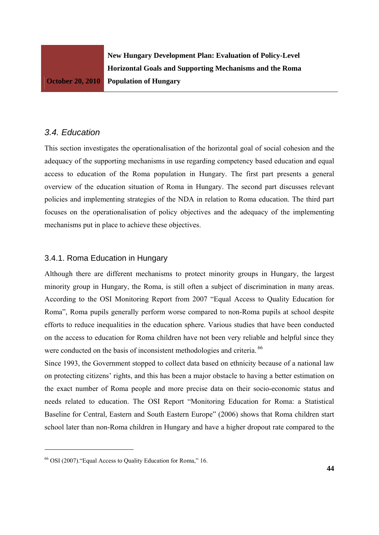## *3.4. Education*

This section investigates the operationalisation of the horizontal goal of social cohesion and the adequacy of the supporting mechanisms in use regarding competency based education and equal access to education of the Roma population in Hungary. The first part presents a general overview of the education situation of Roma in Hungary. The second part discusses relevant policies and implementing strategies of the NDA in relation to Roma education. The third part focuses on the operationalisation of policy objectives and the adequacy of the implementing mechanisms put in place to achieve these objectives.

## 3.4.1. Roma Education in Hungary

Although there are different mechanisms to protect minority groups in Hungary, the largest minority group in Hungary, the Roma, is still often a subject of discrimination in many areas. According to the OSI Monitoring Report from 2007 "Equal Access to Quality Education for Roma", Roma pupils generally perform worse compared to non-Roma pupils at school despite efforts to reduce inequalities in the education sphere. Various studies that have been conducted on the access to education for Roma children have not been very reliable and helpful since they were conducted on the basis of inconsistent methodologies and criteria. <sup>66</sup>

Since 1993, the Government stopped to collect data based on ethnicity because of a national law on protecting citizens' rights, and this has been a major obstacle to having a better estimation on the exact number of Roma people and more precise data on their socio-economic status and needs related to education. The OSI Report "Monitoring Education for Roma: a Statistical Baseline for Central, Eastern and South Eastern Europe" (2006) shows that Roma children start school later than non-Roma children in Hungary and have a higher dropout rate compared to the

<sup>66</sup> OSI (2007)."Equal Access to Quality Education for Roma," 16.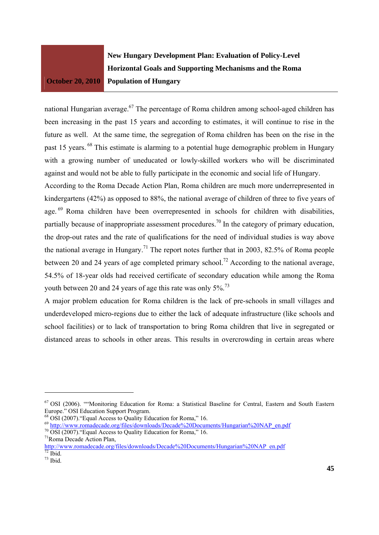

national Hungarian average.67 The percentage of Roma children among school-aged children has been increasing in the past 15 years and according to estimates, it will continue to rise in the future as well. At the same time, the segregation of Roma children has been on the rise in the past 15 years. 68 This estimate is alarming to a potential huge demographic problem in Hungary with a growing number of uneducated or lowly-skilled workers who will be discriminated against and would not be able to fully participate in the economic and social life of Hungary.

According to the Roma Decade Action Plan, Roma children are much more underrepresented in kindergartens (42%) as opposed to 88%, the national average of children of three to five years of age.<sup>69</sup> Roma children have been overrepresented in schools for children with disabilities, partially because of inappropriate assessment procedures.<sup>70</sup> In the category of primary education, the drop-out rates and the rate of qualifications for the need of individual studies is way above the national average in Hungary.<sup>71</sup> The report notes further that in 2003, 82.5% of Roma people between 20 and 24 years of age completed primary school.<sup>72</sup> According to the national average, 54.5% of 18-year olds had received certificate of secondary education while among the Roma youth between 20 and 24 years of age this rate was only 5%.<sup>73</sup>

A major problem education for Roma children is the lack of pre-schools in small villages and underdeveloped micro-regions due to either the lack of adequate infrastructure (like schools and school facilities) or to lack of transportation to bring Roma children that live in segregated or distanced areas to schools in other areas. This results in overcrowding in certain areas where

 $^{69}$  http://www.romadecade.org/files/downloads/Decade%20Documents/Hungarian%20NAP\_en.pdf  $^{70}$  OSI (2007). "Equal Access to Quality Education for Roma," 16.

<sup>67</sup> OSI (2006). ""Monitoring Education for Roma: a Statistical Baseline for Central, Eastern and South Eastern Europe." OSI Education Support Program.

<sup>68</sup> OSI (2007)."Equal Access to Quality Education for Roma," 16.

<sup>71</sup>Roma Decade Action Plan,

http://www.romadecade.org/files/downloads/Decade%20Documents/Hungarian%20NAP\_en.pdf  $72$  Ibid.

 $73$  Ibid.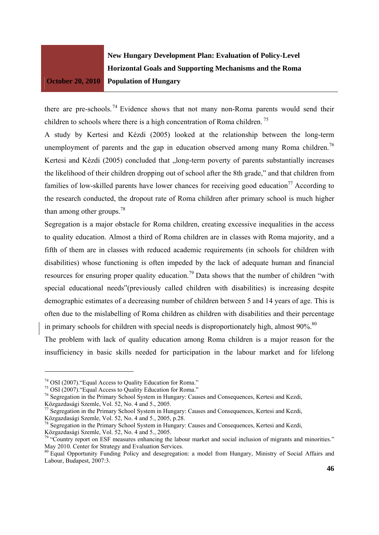**New Hungary Development Plan: Evaluation of Policy-Level Horizontal Goals and Supporting Mechanisms and the Roma Population of Hungary** 

there are pre-schools.<sup>74</sup> Evidence shows that not many non-Roma parents would send their children to schools where there is a high concentration of Roma children.<sup>75</sup>

A study by Kertesi and Kézdi (2005) looked at the relationship between the long-term unemployment of parents and the gap in education observed among many Roma children.<sup>76</sup> Kertesi and Kézdi (2005) concluded that "long-term poverty of parents substantially increases the likelihood of their children dropping out of school after the 8th grade," and that children from families of low-skilled parents have lower chances for receiving good education<sup>77</sup> According to the research conducted, the dropout rate of Roma children after primary school is much higher than among other groups. $^{78}$ 

Segregation is a major obstacle for Roma children, creating excessive inequalities in the access to quality education. Almost a third of Roma children are in classes with Roma majority, and a fifth of them are in classes with reduced academic requirements (in schools for children with disabilities) whose functioning is often impeded by the lack of adequate human and financial resources for ensuring proper quality education.<sup>79</sup> Data shows that the number of children "with" special educational needs"(previously called children with disabilities) is increasing despite demographic estimates of a decreasing number of children between 5 and 14 years of age. This is often due to the mislabelling of Roma children as children with disabilities and their percentage in primary schools for children with special needs is disproportionately high, almost  $90\%$ .<sup>80</sup>

The problem with lack of quality education among Roma children is a major reason for the insufficiency in basic skills needed for participation in the labour market and for lifelong

<sup>74</sup> OSI (2007)."Equal Access to Quality Education for Roma."

<sup>75</sup> OSI (2007)."Equal Access to Quality Education for Roma."

<sup>&</sup>lt;sup>76</sup> Segregation in the Primary School System in Hungary: Causes and Consequences, Kertesi and Kezdi,

Közgazdasági Szemle, Vol. 52, No. 4 and 5., 2005.

<sup>&</sup>lt;sup>77</sup> Segregation in the Primary School System in Hungary: Causes and Consequences, Kertesi and Kezdi, Közgazdasági Szemle, Vol. 52, No. 4 and 5., 2005, p.28.

<sup>&</sup>lt;sup>78</sup> Segregation in the Primary School System in Hungary: Causes and Consequences, Kertesi and Kezdi, Közgazdasági Szemle, Vol. 52, No. 4 and 5., 2005.

<sup>&</sup>lt;sup>79</sup> "Country report on ESF measures enhancing the labour market and social inclusion of migrants and minorities." May 2010. Center for Strategy and Evaluation Services.<br><sup>80</sup> Equal Opportunity Funding Policy and desegregation: a model from Hungary, Ministry of Social Affairs and

Labour, Budapest, 2007:3.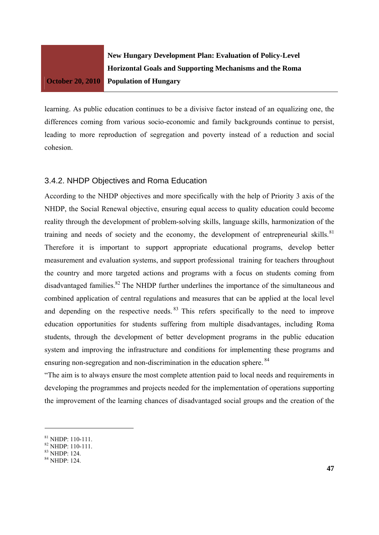

learning. As public education continues to be a divisive factor instead of an equalizing one, the differences coming from various socio-economic and family backgrounds continue to persist, leading to more reproduction of segregation and poverty instead of a reduction and social cohesion.

## 3.4.2. NHDP Objectives and Roma Education

According to the NHDP objectives and more specifically with the help of Priority 3 axis of the NHDP, the Social Renewal objective, ensuring equal access to quality education could become reality through the development of problem-solving skills, language skills, harmonization of the training and needs of society and the economy, the development of entrepreneurial skills.<sup>81</sup> Therefore it is important to support appropriate educational programs, develop better measurement and evaluation systems, and support professional training for teachers throughout the country and more targeted actions and programs with a focus on students coming from disadvantaged families.<sup>82</sup> The NHDP further underlines the importance of the simultaneous and combined application of central regulations and measures that can be applied at the local level and depending on the respective needs. <sup>83</sup> This refers specifically to the need to improve education opportunities for students suffering from multiple disadvantages, including Roma students, through the development of better development programs in the public education system and improving the infrastructure and conditions for implementing these programs and ensuring non-segregation and non-discrimination in the education sphere.  $84$ 

"The aim is to always ensure the most complete attention paid to local needs and requirements in developing the programmes and projects needed for the implementation of operations supporting the improvement of the learning chances of disadvantaged social groups and the creation of the

<sup>81</sup> NHDP: 110-111.

<sup>82</sup> NHDP: 110-111.

<sup>83</sup> NHDP: 124.

 $84$  NHDP: 124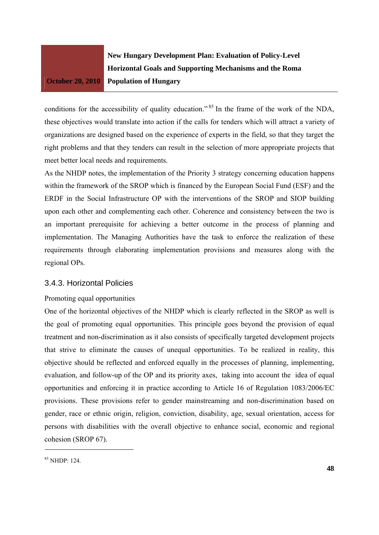**New Hungary Development Plan: Evaluation of Policy-Level Horizontal Goals and Supporting Mechanisms and the Roma Population of Hungary** 

conditions for the accessibility of quality education."<sup>85</sup> In the frame of the work of the NDA, these objectives would translate into action if the calls for tenders which will attract a variety of organizations are designed based on the experience of experts in the field, so that they target the right problems and that they tenders can result in the selection of more appropriate projects that meet better local needs and requirements.

As the NHDP notes, the implementation of the Priority 3 strategy concerning education happens within the framework of the SROP which is financed by the European Social Fund (ESF) and the ERDF in the Social Infrastructure OP with the interventions of the SROP and SIOP building upon each other and complementing each other. Coherence and consistency between the two is an important prerequisite for achieving a better outcome in the process of planning and implementation. The Managing Authorities have the task to enforce the realization of these requirements through elaborating implementation provisions and measures along with the regional OPs.

## 3.4.3. Horizontal Policies

#### Promoting equal opportunities

One of the horizontal objectives of the NHDP which is clearly reflected in the SROP as well is the goal of promoting equal opportunities. This principle goes beyond the provision of equal treatment and non-discrimination as it also consists of specifically targeted development projects that strive to eliminate the causes of unequal opportunities. To be realized in reality, this objective should be reflected and enforced equally in the processes of planning, implementing, evaluation, and follow-up of the OP and its priority axes, taking into account the idea of equal opportunities and enforcing it in practice according to Article 16 of Regulation 1083/2006/EC provisions. These provisions refer to gender mainstreaming and non-discrimination based on gender, race or ethnic origin, religion, conviction, disability, age, sexual orientation, access for persons with disabilities with the overall objective to enhance social, economic and regional cohesion (SROP 67).

<sup>85</sup> NHDP: 124.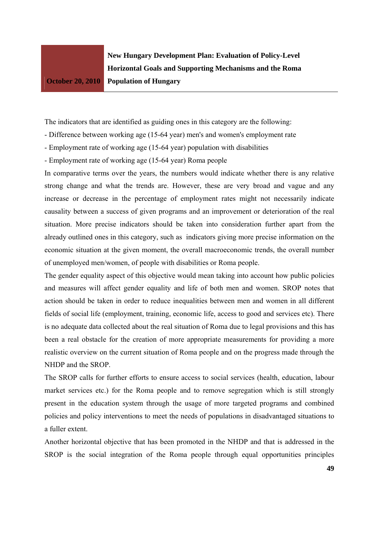**New Hungary Development Plan: Evaluation of Policy-Level Horizontal Goals and Supporting Mechanisms and the Roma Population of Hungary** 

The indicators that are identified as guiding ones in this category are the following:

- Difference between working age (15-64 year) men's and women's employment rate
- Employment rate of working age (15-64 year) population with disabilities
- Employment rate of working age (15-64 year) Roma people

In comparative terms over the years, the numbers would indicate whether there is any relative strong change and what the trends are. However, these are very broad and vague and any increase or decrease in the percentage of employment rates might not necessarily indicate causality between a success of given programs and an improvement or deterioration of the real situation. More precise indicators should be taken into consideration further apart from the already outlined ones in this category, such as indicators giving more precise information on the economic situation at the given moment, the overall macroeconomic trends, the overall number of unemployed men/women, of people with disabilities or Roma people.

The gender equality aspect of this objective would mean taking into account how public policies and measures will affect gender equality and life of both men and women. SROP notes that action should be taken in order to reduce inequalities between men and women in all different fields of social life (employment, training, economic life, access to good and services etc). There is no adequate data collected about the real situation of Roma due to legal provisions and this has been a real obstacle for the creation of more appropriate measurements for providing a more realistic overview on the current situation of Roma people and on the progress made through the NHDP and the SROP.

The SROP calls for further efforts to ensure access to social services (health, education, labour market services etc.) for the Roma people and to remove segregation which is still strongly present in the education system through the usage of more targeted programs and combined policies and policy interventions to meet the needs of populations in disadvantaged situations to a fuller extent.

Another horizontal objective that has been promoted in the NHDP and that is addressed in the SROP is the social integration of the Roma people through equal opportunities principles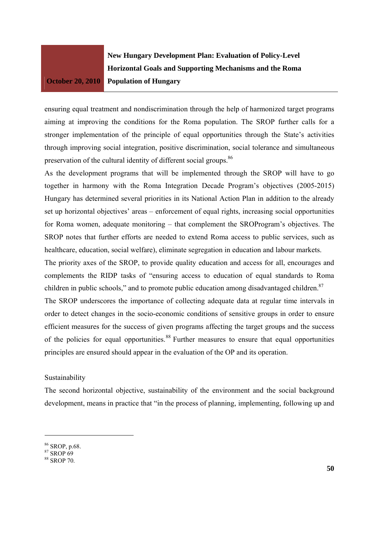**New Hungary Development Plan: Evaluation of Policy-Level Horizontal Goals and Supporting Mechanisms and the Roma Population of Hungary** 

ensuring equal treatment and nondiscrimination through the help of harmonized target programs aiming at improving the conditions for the Roma population. The SROP further calls for a stronger implementation of the principle of equal opportunities through the State's activities through improving social integration, positive discrimination, social tolerance and simultaneous preservation of the cultural identity of different social groups.<sup>86</sup>

As the development programs that will be implemented through the SROP will have to go together in harmony with the Roma Integration Decade Program's objectives (2005-2015) Hungary has determined several priorities in its National Action Plan in addition to the already set up horizontal objectives' areas – enforcement of equal rights, increasing social opportunities for Roma women, adequate monitoring – that complement the SROProgram's objectives. The SROP notes that further efforts are needed to extend Roma access to public services, such as healthcare, education, social welfare), eliminate segregation in education and labour markets.

The priority axes of the SROP, to provide quality education and access for all, encourages and complements the RIDP tasks of "ensuring access to education of equal standards to Roma children in public schools," and to promote public education among disadvantaged children. $87$ 

The SROP underscores the importance of collecting adequate data at regular time intervals in order to detect changes in the socio-economic conditions of sensitive groups in order to ensure efficient measures for the success of given programs affecting the target groups and the success of the policies for equal opportunities.<sup>88</sup> Further measures to ensure that equal opportunities principles are ensured should appear in the evaluation of the OP and its operation.

#### Sustainability

The second horizontal objective, sustainability of the environment and the social background development, means in practice that "in the process of planning, implementing, following up and

<sup>86</sup> SROP, p.68.

<sup>87</sup> SROP 69

 $88$  SROP 70.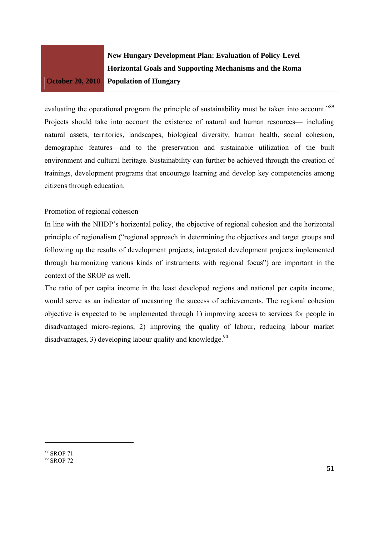

evaluating the operational program the principle of sustainability must be taken into account.<sup>889</sup> Projects should take into account the existence of natural and human resources— including natural assets, territories, landscapes, biological diversity, human health, social cohesion, demographic features—and to the preservation and sustainable utilization of the built environment and cultural heritage. Sustainability can further be achieved through the creation of trainings, development programs that encourage learning and develop key competencies among citizens through education.

#### Promotion of regional cohesion

In line with the NHDP's horizontal policy, the objective of regional cohesion and the horizontal principle of regionalism ("regional approach in determining the objectives and target groups and following up the results of development projects; integrated development projects implemented through harmonizing various kinds of instruments with regional focus") are important in the context of the SROP as well.

The ratio of per capita income in the least developed regions and national per capita income, would serve as an indicator of measuring the success of achievements. The regional cohesion objective is expected to be implemented through 1) improving access to services for people in disadvantaged micro-regions, 2) improving the quality of labour, reducing labour market disadvantages, 3) developing labour quality and knowledge. $90$ 

89 SROP 71 <sup>90</sup> SROP 72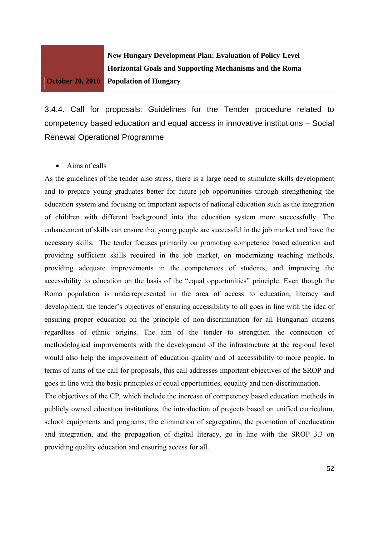**New Hungary Development Plan: Evaluation of Policy-Level Horizontal Goals and Supporting Mechanisms and the Roma Population of Hungary** 

3.4.4. Call for proposals: Guidelines for the Tender procedure related to competency based education and equal access in innovative institutions – Social Renewal Operational Programme

• Aims of calls

As the guidelines of the tender also stress, there is a large need to stimulate skills development and to prepare young graduates better for future job opportunities through strengthening the education system and focusing on important aspects of national education such as the integration of children with different background into the education system more successfully. The enhancement of skills can ensure that young people are successful in the job market and have the necessary skills. The tender focuses primarily on promoting competence based education and providing sufficient skills required in the job market, on modernizing teaching methods, providing adequate improvements in the competences of students, and improving the accessibility to education on the basis of the "equal opportunities" principle. Even though the Roma population is underrepresented in the area of access to education, literacy and development, the tender's objectives of ensuring accessibility to all goes in line with the idea of ensuring proper education on the principle of non-discrimination for all Hungarian citizens regardless of ethnic origins. The aim of the tender to strengthen the connection of methodological improvements with the development of the infrastructure at the regional level would also help the improvement of education quality and of accessibility to more people. In terms of aims of the call for proposals, this call addresses important objectives of the SROP and goes in line with the basic principles of equal opportunities, equality and non-discrimination.

The objectives of the CP, which include the increase of competency based education methods in publicly owned education institutions, the introduction of projects based on unified curriculum, school equipments and programs, the elimination of segregation, the promotion of coeducation and integration, and the propagation of digital literacy, go in line with the SROP 3.3 on providing quality education and ensuring access for all.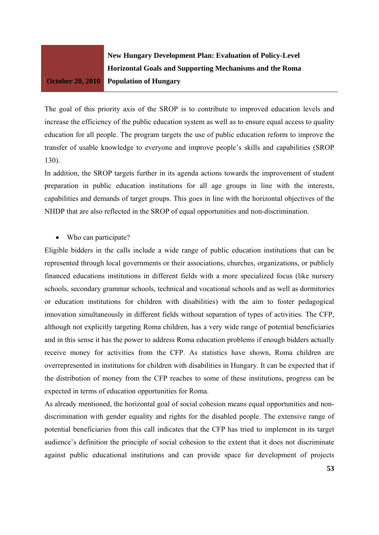

The goal of this priority axis of the SROP is to contribute to improved education levels and increase the efficiency of the public education system as well as to ensure equal access to quality education for all people. The program targets the use of public education reform to improve the transfer of usable knowledge to everyone and improve people's skills and capabilities (SROP 130).

In addition, the SROP targets further in its agenda actions towards the improvement of student preparation in public education institutions for all age groups in line with the interests, capabilities and demands of target groups. This goes in line with the horizontal objectives of the NHDP that are also reflected in the SROP of equal opportunities and non-discrimination.

• Who can participate?

Eligible bidders in the calls include a wide range of public education institutions that can be represented through local governments or their associations, churches, organizations, or publicly financed educations institutions in different fields with a more specialized focus (like nursery schools, secondary grammar schools, technical and vocational schools and as well as dormitories or education institutions for children with disabilities) with the aim to foster pedagogical innovation simultaneously in different fields without separation of types of activities. The CFP, although not explicitly targeting Roma children, has a very wide range of potential beneficiaries and in this sense it has the power to address Roma education problems if enough bidders actually receive money for activities from the CFP. As statistics have shown, Roma children are overrepresented in institutions for children with disabilities in Hungary. It can be expected that if the distribution of money from the CFP reaches to some of these institutions, progress can be expected in terms of education opportunities for Roma.

As already mentioned, the horizontal goal of social cohesion means equal opportunities and nondiscrimination with gender equality and rights for the disabled people. The extensive range of potential beneficiaries from this call indicates that the CFP has tried to implement in its target audience's definition the principle of social cohesion to the extent that it does not discriminate against public educational institutions and can provide space for development of projects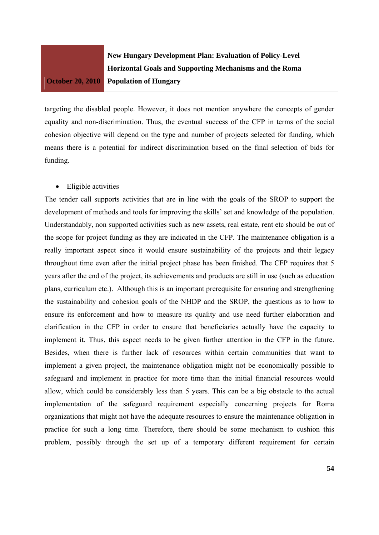**New Hungary Development Plan: Evaluation of Policy-Level Horizontal Goals and Supporting Mechanisms and the Roma Population of Hungary** 

targeting the disabled people. However, it does not mention anywhere the concepts of gender equality and non-discrimination. Thus, the eventual success of the CFP in terms of the social cohesion objective will depend on the type and number of projects selected for funding, which means there is a potential for indirect discrimination based on the final selection of bids for funding.

#### • Eligible activities

The tender call supports activities that are in line with the goals of the SROP to support the development of methods and tools for improving the skills' set and knowledge of the population. Understandably, non supported activities such as new assets, real estate, rent etc should be out of the scope for project funding as they are indicated in the CFP. The maintenance obligation is a really important aspect since it would ensure sustainability of the projects and their legacy throughout time even after the initial project phase has been finished. The CFP requires that 5 years after the end of the project, its achievements and products are still in use (such as education plans, curriculum etc.). Although this is an important prerequisite for ensuring and strengthening the sustainability and cohesion goals of the NHDP and the SROP, the questions as to how to ensure its enforcement and how to measure its quality and use need further elaboration and clarification in the CFP in order to ensure that beneficiaries actually have the capacity to implement it. Thus, this aspect needs to be given further attention in the CFP in the future. Besides, when there is further lack of resources within certain communities that want to implement a given project, the maintenance obligation might not be economically possible to safeguard and implement in practice for more time than the initial financial resources would allow, which could be considerably less than 5 years. This can be a big obstacle to the actual implementation of the safeguard requirement especially concerning projects for Roma organizations that might not have the adequate resources to ensure the maintenance obligation in practice for such a long time. Therefore, there should be some mechanism to cushion this problem, possibly through the set up of a temporary different requirement for certain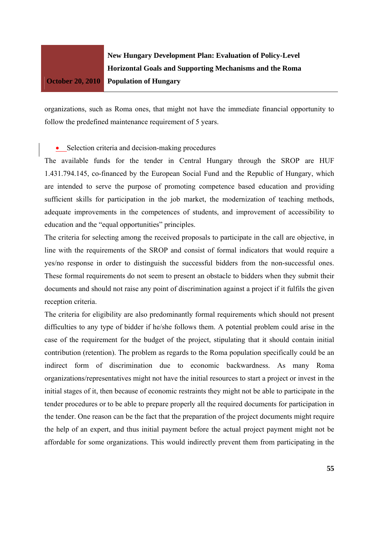

organizations, such as Roma ones, that might not have the immediate financial opportunity to follow the predefined maintenance requirement of 5 years.

• Selection criteria and decision-making procedures

The available funds for the tender in Central Hungary through the SROP are HUF 1.431.794.145, co-financed by the European Social Fund and the Republic of Hungary, which are intended to serve the purpose of promoting competence based education and providing sufficient skills for participation in the job market, the modernization of teaching methods, adequate improvements in the competences of students, and improvement of accessibility to education and the "equal opportunities" principles.

The criteria for selecting among the received proposals to participate in the call are objective, in line with the requirements of the SROP and consist of formal indicators that would require a yes/no response in order to distinguish the successful bidders from the non-successful ones. These formal requirements do not seem to present an obstacle to bidders when they submit their documents and should not raise any point of discrimination against a project if it fulfils the given reception criteria.

The criteria for eligibility are also predominantly formal requirements which should not present difficulties to any type of bidder if he/she follows them. A potential problem could arise in the case of the requirement for the budget of the project, stipulating that it should contain initial contribution (retention). The problem as regards to the Roma population specifically could be an indirect form of discrimination due to economic backwardness. As many Roma organizations/representatives might not have the initial resources to start a project or invest in the initial stages of it, then because of economic restraints they might not be able to participate in the tender procedures or to be able to prepare properly all the required documents for participation in the tender. One reason can be the fact that the preparation of the project documents might require the help of an expert, and thus initial payment before the actual project payment might not be affordable for some organizations. This would indirectly prevent them from participating in the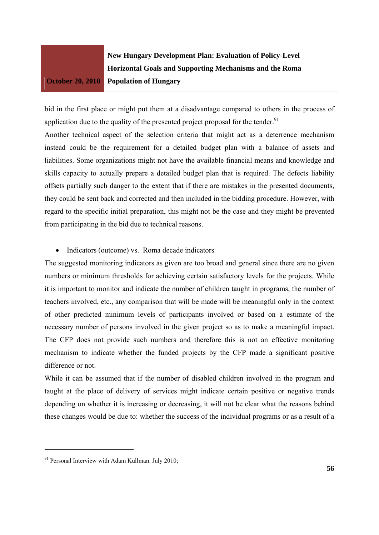**New Hungary Development Plan: Evaluation of Policy-Level Horizontal Goals and Supporting Mechanisms and the Roma Population of Hungary** 

bid in the first place or might put them at a disadvantage compared to others in the process of application due to the quality of the presented project proposal for the tender.<sup>91</sup>

Another technical aspect of the selection criteria that might act as a deterrence mechanism instead could be the requirement for a detailed budget plan with a balance of assets and liabilities. Some organizations might not have the available financial means and knowledge and skills capacity to actually prepare a detailed budget plan that is required. The defects liability offsets partially such danger to the extent that if there are mistakes in the presented documents, they could be sent back and corrected and then included in the bidding procedure. However, with regard to the specific initial preparation, this might not be the case and they might be prevented from participating in the bid due to technical reasons.

#### • Indicators (outcome) vs. Roma decade indicators

The suggested monitoring indicators as given are too broad and general since there are no given numbers or minimum thresholds for achieving certain satisfactory levels for the projects. While it is important to monitor and indicate the number of children taught in programs, the number of teachers involved, etc., any comparison that will be made will be meaningful only in the context of other predicted minimum levels of participants involved or based on a estimate of the necessary number of persons involved in the given project so as to make a meaningful impact. The CFP does not provide such numbers and therefore this is not an effective monitoring mechanism to indicate whether the funded projects by the CFP made a significant positive difference or not.

While it can be assumed that if the number of disabled children involved in the program and taught at the place of delivery of services might indicate certain positive or negative trends depending on whether it is increasing or decreasing, it will not be clear what the reasons behind these changes would be due to: whether the success of the individual programs or as a result of a

 $91$  Personal Interview with Adam Kullman. July 2010;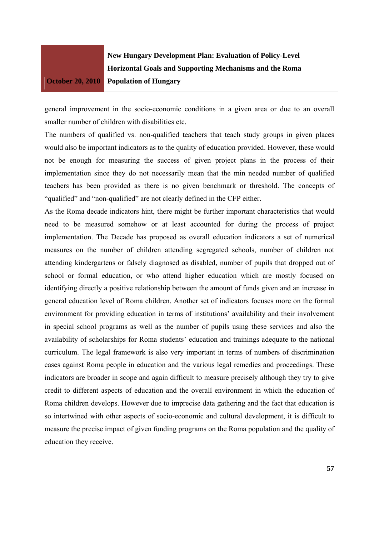**New Hungary Development Plan: Evaluation of Policy-Level Horizontal Goals and Supporting Mechanisms and the Roma Population of Hungary** 

general improvement in the socio-economic conditions in a given area or due to an overall smaller number of children with disabilities etc.

The numbers of qualified vs. non-qualified teachers that teach study groups in given places would also be important indicators as to the quality of education provided. However, these would not be enough for measuring the success of given project plans in the process of their implementation since they do not necessarily mean that the min needed number of qualified teachers has been provided as there is no given benchmark or threshold. The concepts of "qualified" and "non-qualified" are not clearly defined in the CFP either.

As the Roma decade indicators hint, there might be further important characteristics that would need to be measured somehow or at least accounted for during the process of project implementation. The Decade has proposed as overall education indicators a set of numerical measures on the number of children attending segregated schools, number of children not attending kindergartens or falsely diagnosed as disabled, number of pupils that dropped out of school or formal education, or who attend higher education which are mostly focused on identifying directly a positive relationship between the amount of funds given and an increase in general education level of Roma children. Another set of indicators focuses more on the formal environment for providing education in terms of institutions' availability and their involvement in special school programs as well as the number of pupils using these services and also the availability of scholarships for Roma students' education and trainings adequate to the national curriculum. The legal framework is also very important in terms of numbers of discrimination cases against Roma people in education and the various legal remedies and proceedings. These indicators are broader in scope and again difficult to measure precisely although they try to give credit to different aspects of education and the overall environment in which the education of Roma children develops. However due to imprecise data gathering and the fact that education is so intertwined with other aspects of socio-economic and cultural development, it is difficult to measure the precise impact of given funding programs on the Roma population and the quality of education they receive.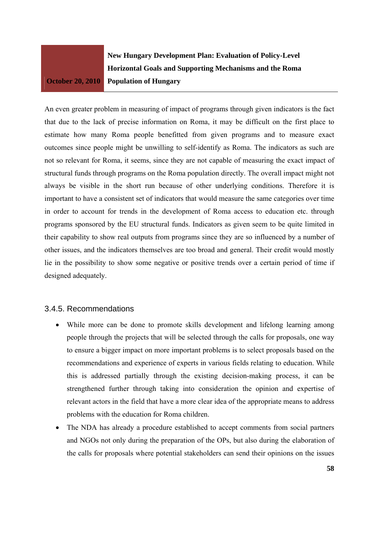**New Hungary Development Plan: Evaluation of Policy-Level Horizontal Goals and Supporting Mechanisms and the Roma Population of Hungary** 

An even greater problem in measuring of impact of programs through given indicators is the fact that due to the lack of precise information on Roma, it may be difficult on the first place to estimate how many Roma people benefitted from given programs and to measure exact outcomes since people might be unwilling to self-identify as Roma. The indicators as such are not so relevant for Roma, it seems, since they are not capable of measuring the exact impact of structural funds through programs on the Roma population directly. The overall impact might not always be visible in the short run because of other underlying conditions. Therefore it is important to have a consistent set of indicators that would measure the same categories over time in order to account for trends in the development of Roma access to education etc. through programs sponsored by the EU structural funds. Indicators as given seem to be quite limited in their capability to show real outputs from programs since they are so influenced by a number of other issues, and the indicators themselves are too broad and general. Their credit would mostly lie in the possibility to show some negative or positive trends over a certain period of time if designed adequately.

## 3.4.5. Recommendations

- While more can be done to promote skills development and lifelong learning among people through the projects that will be selected through the calls for proposals, one way to ensure a bigger impact on more important problems is to select proposals based on the recommendations and experience of experts in various fields relating to education. While this is addressed partially through the existing decision-making process, it can be strengthened further through taking into consideration the opinion and expertise of relevant actors in the field that have a more clear idea of the appropriate means to address problems with the education for Roma children.
- The NDA has already a procedure established to accept comments from social partners and NGOs not only during the preparation of the OPs, but also during the elaboration of the calls for proposals where potential stakeholders can send their opinions on the issues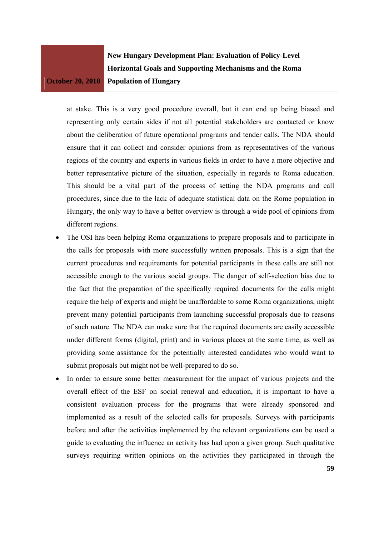**New Hungary Development Plan: Evaluation of Policy-Level Horizontal Goals and Supporting Mechanisms and the Roma Population of Hungary** 

at stake. This is a very good procedure overall, but it can end up being biased and representing only certain sides if not all potential stakeholders are contacted or know about the deliberation of future operational programs and tender calls. The NDA should ensure that it can collect and consider opinions from as representatives of the various regions of the country and experts in various fields in order to have a more objective and better representative picture of the situation, especially in regards to Roma education. This should be a vital part of the process of setting the NDA programs and call procedures, since due to the lack of adequate statistical data on the Rome population in Hungary, the only way to have a better overview is through a wide pool of opinions from different regions.

- The OSI has been helping Roma organizations to prepare proposals and to participate in the calls for proposals with more successfully written proposals. This is a sign that the current procedures and requirements for potential participants in these calls are still not accessible enough to the various social groups. The danger of self-selection bias due to the fact that the preparation of the specifically required documents for the calls might require the help of experts and might be unaffordable to some Roma organizations, might prevent many potential participants from launching successful proposals due to reasons of such nature. The NDA can make sure that the required documents are easily accessible under different forms (digital, print) and in various places at the same time, as well as providing some assistance for the potentially interested candidates who would want to submit proposals but might not be well-prepared to do so.
- In order to ensure some better measurement for the impact of various projects and the overall effect of the ESF on social renewal and education, it is important to have a consistent evaluation process for the programs that were already sponsored and implemented as a result of the selected calls for proposals. Surveys with participants before and after the activities implemented by the relevant organizations can be used a guide to evaluating the influence an activity has had upon a given group. Such qualitative surveys requiring written opinions on the activities they participated in through the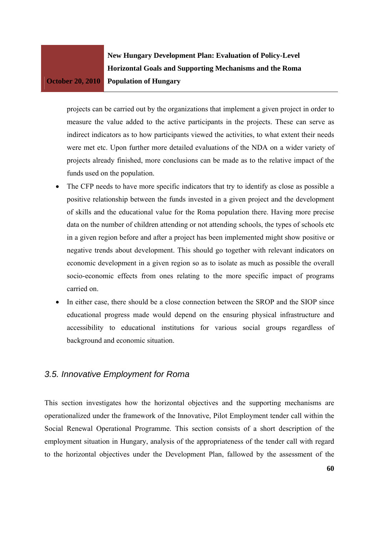**New Hungary Development Plan: Evaluation of Policy-Level Horizontal Goals and Supporting Mechanisms and the Roma Population of Hungary** 

projects can be carried out by the organizations that implement a given project in order to measure the value added to the active participants in the projects. These can serve as indirect indicators as to how participants viewed the activities, to what extent their needs were met etc. Upon further more detailed evaluations of the NDA on a wider variety of projects already finished, more conclusions can be made as to the relative impact of the funds used on the population.

- The CFP needs to have more specific indicators that try to identify as close as possible a positive relationship between the funds invested in a given project and the development of skills and the educational value for the Roma population there. Having more precise data on the number of children attending or not attending schools, the types of schools etc in a given region before and after a project has been implemented might show positive or negative trends about development. This should go together with relevant indicators on economic development in a given region so as to isolate as much as possible the overall socio-economic effects from ones relating to the more specific impact of programs carried on.
- In either case, there should be a close connection between the SROP and the SIOP since educational progress made would depend on the ensuring physical infrastructure and accessibility to educational institutions for various social groups regardless of background and economic situation.

## *3.5. Innovative Employment for Roma*

This section investigates how the horizontal objectives and the supporting mechanisms are operationalized under the framework of the Innovative, Pilot Employment tender call within the Social Renewal Operational Programme. This section consists of a short description of the employment situation in Hungary, analysis of the appropriateness of the tender call with regard to the horizontal objectives under the Development Plan, fallowed by the assessment of the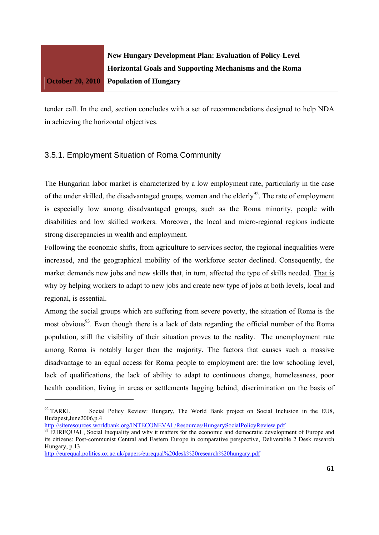

tender call. In the end, section concludes with a set of recommendations designed to help NDA in achieving the horizontal objectives.

## 3.5.1. Employment Situation of Roma Community

The Hungarian labor market is characterized by a low employment rate, particularly in the case of the under skilled, the disadvantaged groups, women and the elderly<sup>92</sup>. The rate of employment is especially low among disadvantaged groups, such as the Roma minority, people with disabilities and low skilled workers. Moreover, the local and micro-regional regions indicate strong discrepancies in wealth and employment.

Following the economic shifts, from agriculture to services sector, the regional inequalities were increased, and the geographical mobility of the workforce sector declined. Consequently, the market demands new jobs and new skills that, in turn, affected the type of skills needed. That is why by helping workers to adapt to new jobs and create new type of jobs at both levels, local and regional, is essential.

Among the social groups which are suffering from severe poverty, the situation of Roma is the most obvious<sup>93</sup>. Even though there is a lack of data regarding the official number of the Roma population, still the visibility of their situation proves to the reality. The unemployment rate among Roma is notably larger then the majority. The factors that causes such a massive disadvantage to an equal access for Roma people to employment are: the low schooling level, lack of qualifications, the lack of ability to adapt to continuous change, homelessness, poor health condition, living in areas or settlements lagging behind, discrimination on the basis of

<sup>&</sup>lt;sup>92</sup> TARKI, Social Policy Review: Hungary, The World Bank project on Social Inclusion in the EU8, Budapest,June2006,p.4

http://siteresources.worldbank.org/INTECONEVAL/Resources/HungarySocialPolicyReview.pdf

<sup>&</sup>lt;sup>93</sup> EUREQUAL, Social Inequality and why it matters for the economic and democratic development of Europe and its citizens: Post-communist Central and Eastern Europe in comparative perspective, Deliverable 2 Desk research Hungary, p.13

http://eurequal.politics.ox.ac.uk/papers/eurequal%20desk%20research%20hungary.pdf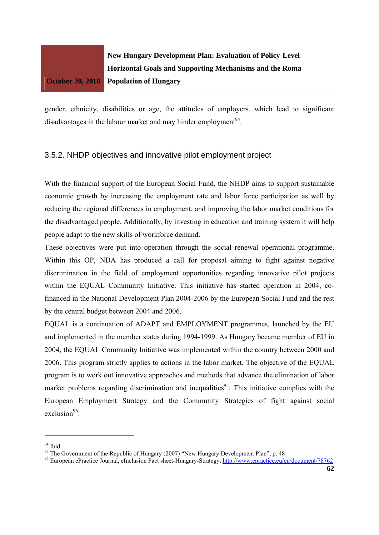

gender, ethnicity, disabilities or age, the attitudes of employers, which lead to significant disadvantages in the labour market and may hinder employment<sup>94</sup>.

#### 3.5.2. NHDP objectives and innovative pilot employment project

With the financial support of the European Social Fund, the NHDP aims to support sustainable economic growth by increasing the employment rate and labor force participation as well by reducing the regional differences in employment, and improving the labor market conditions for the disadvantaged people. Additionally, by investing in education and training system it will help people adapt to the new skills of workforce demand.

These objectives were put into operation through the social renewal operational programme. Within this OP, NDA has produced a call for proposal aiming to fight against negative discrimination in the field of employment opportunities regarding innovative pilot projects within the EQUAL Community Initiative. This initiative has started operation in 2004, cofinanced in the National Development Plan 2004-2006 by the European Social Fund and the rest by the central budget between 2004 and 2006.

EQUAL is a continuation of ADAPT and EMPLOYMENT programmes, launched by the EU and implemented in the member states during 1994-1999. As Hungary became member of EU in 2004, the EQUAL Community Initiative was implemented within the country between 2000 and 2006. This program strictly applies to actions in the labor market. The objective of the EQUAL program is to work out innovative approaches and methods that advance the elimination of labor market problems regarding discrimination and inequalities<sup>95</sup>. This initiative complies with the European Employment Strategy and the Community Strategies of fight against social  $exclusion<sup>96</sup>$ .

 $94$  Ibid.

<sup>&</sup>lt;sup>95</sup> The Government of the Republic of Hungary (2007) "New Hungary Development Plan", p. 48

<sup>&</sup>lt;sup>96</sup> European ePractice Journal, eInclusion Fact sheet-Hungary-Strategy, http://www.epractice.eu/en/document/78762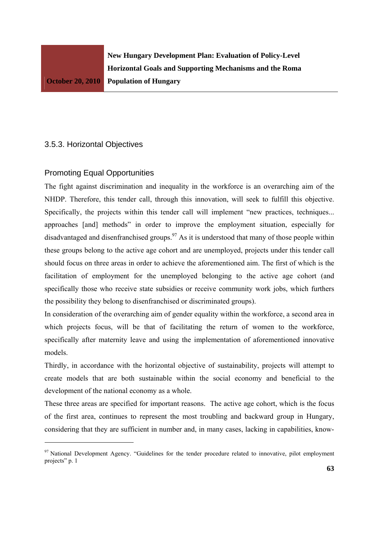## 3.5.3. Horizontal Objectives

## Promoting Equal Opportunities

The fight against discrimination and inequality in the workforce is an overarching aim of the NHDP. Therefore, this tender call, through this innovation, will seek to fulfill this objective. Specifically, the projects within this tender call will implement "new practices, techniques... approaches [and] methods" in order to improve the employment situation, especially for disadvantaged and disenfranchised groups.<sup>97</sup> As it is understood that many of those people within these groups belong to the active age cohort and are unemployed, projects under this tender call should focus on three areas in order to achieve the aforementioned aim. The first of which is the facilitation of employment for the unemployed belonging to the active age cohort (and specifically those who receive state subsidies or receive community work jobs, which furthers the possibility they belong to disenfranchised or discriminated groups).

In consideration of the overarching aim of gender equality within the workforce, a second area in which projects focus, will be that of facilitating the return of women to the workforce, specifically after maternity leave and using the implementation of aforementioned innovative models.

Thirdly, in accordance with the horizontal objective of sustainability, projects will attempt to create models that are both sustainable within the social economy and beneficial to the development of the national economy as a whole.

These three areas are specified for important reasons. The active age cohort, which is the focus of the first area, continues to represent the most troubling and backward group in Hungary, considering that they are sufficient in number and, in many cases, lacking in capabilities, know-

<sup>&</sup>lt;sup>97</sup> National Development Agency. "Guidelines for the tender procedure related to innovative, pilot employment projects" p. 1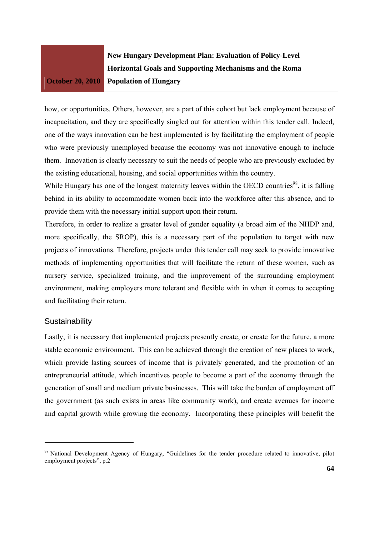**New Hungary Development Plan: Evaluation of Policy-Level Horizontal Goals and Supporting Mechanisms and the Roma Population of Hungary** 

how, or opportunities. Others, however, are a part of this cohort but lack employment because of incapacitation, and they are specifically singled out for attention within this tender call. Indeed, one of the ways innovation can be best implemented is by facilitating the employment of people who were previously unemployed because the economy was not innovative enough to include them. Innovation is clearly necessary to suit the needs of people who are previously excluded by the existing educational, housing, and social opportunities within the country.

While Hungary has one of the longest maternity leaves within the OECD countries<sup>98</sup>, it is falling behind in its ability to accommodate women back into the workforce after this absence, and to provide them with the necessary initial support upon their return.

Therefore, in order to realize a greater level of gender equality (a broad aim of the NHDP and, more specifically, the SROP), this is a necessary part of the population to target with new projects of innovations. Therefore, projects under this tender call may seek to provide innovative methods of implementing opportunities that will facilitate the return of these women, such as nursery service, specialized training, and the improvement of the surrounding employment environment, making employers more tolerant and flexible with in when it comes to accepting and facilitating their return.

#### **Sustainability**

Lastly, it is necessary that implemented projects presently create, or create for the future, a more stable economic environment. This can be achieved through the creation of new places to work, which provide lasting sources of income that is privately generated, and the promotion of an entrepreneurial attitude, which incentives people to become a part of the economy through the generation of small and medium private businesses. This will take the burden of employment off the government (as such exists in areas like community work), and create avenues for income and capital growth while growing the economy. Incorporating these principles will benefit the

<sup>&</sup>lt;sup>98</sup> National Development Agency of Hungary, "Guidelines for the tender procedure related to innovative, pilot employment projects", p.2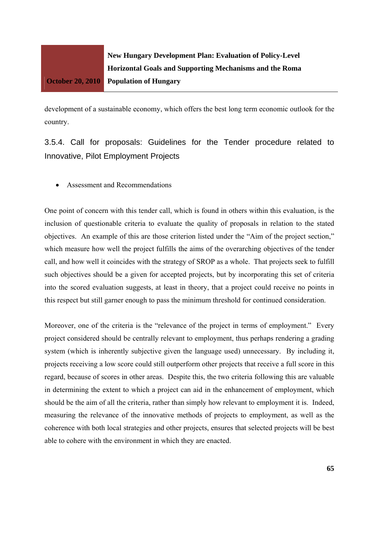

development of a sustainable economy, which offers the best long term economic outlook for the country.

3.5.4. Call for proposals: Guidelines for the Tender procedure related to Innovative, Pilot Employment Projects

Assessment and Recommendations

One point of concern with this tender call, which is found in others within this evaluation, is the inclusion of questionable criteria to evaluate the quality of proposals in relation to the stated objectives. An example of this are those criterion listed under the "Aim of the project section," which measure how well the project fulfills the aims of the overarching objectives of the tender call, and how well it coincides with the strategy of SROP as a whole. That projects seek to fulfill such objectives should be a given for accepted projects, but by incorporating this set of criteria into the scored evaluation suggests, at least in theory, that a project could receive no points in this respect but still garner enough to pass the minimum threshold for continued consideration.

Moreover, one of the criteria is the "relevance of the project in terms of employment." Every project considered should be centrally relevant to employment, thus perhaps rendering a grading system (which is inherently subjective given the language used) unnecessary. By including it, projects receiving a low score could still outperform other projects that receive a full score in this regard, because of scores in other areas. Despite this, the two criteria following this are valuable in determining the extent to which a project can aid in the enhancement of employment, which should be the aim of all the criteria, rather than simply how relevant to employment it is. Indeed, measuring the relevance of the innovative methods of projects to employment, as well as the coherence with both local strategies and other projects, ensures that selected projects will be best able to cohere with the environment in which they are enacted.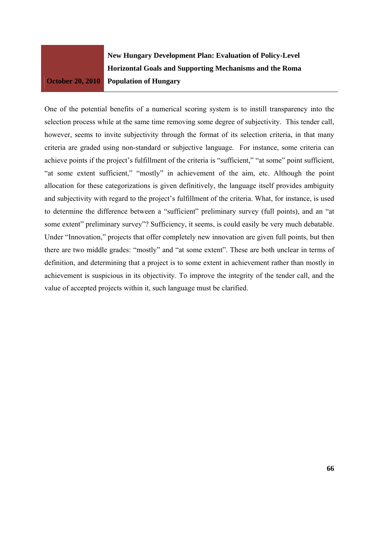

One of the potential benefits of a numerical scoring system is to instill transparency into the selection process while at the same time removing some degree of subjectivity. This tender call, however, seems to invite subjectivity through the format of its selection criteria, in that many criteria are graded using non-standard or subjective language. For instance, some criteria can achieve points if the project's fulfillment of the criteria is "sufficient," "at some" point sufficient, "at some extent sufficient," "mostly" in achievement of the aim, etc. Although the point allocation for these categorizations is given definitively, the language itself provides ambiguity and subjectivity with regard to the project's fulfillment of the criteria. What, for instance, is used to determine the difference between a "sufficient" preliminary survey (full points), and an "at some extent" preliminary survey"? Sufficiency, it seems, is could easily be very much debatable. Under "Innovation," projects that offer completely new innovation are given full points, but then there are two middle grades: "mostly" and "at some extent". These are both unclear in terms of definition, and determining that a project is to some extent in achievement rather than mostly in achievement is suspicious in its objectivity. To improve the integrity of the tender call, and the value of accepted projects within it, such language must be clarified.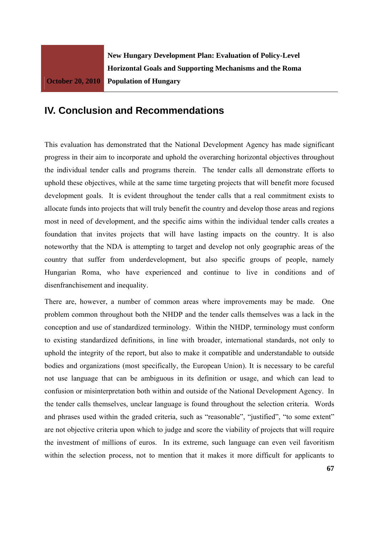## **IV. Conclusion and Recommendations**

This evaluation has demonstrated that the National Development Agency has made significant progress in their aim to incorporate and uphold the overarching horizontal objectives throughout the individual tender calls and programs therein. The tender calls all demonstrate efforts to uphold these objectives, while at the same time targeting projects that will benefit more focused development goals. It is evident throughout the tender calls that a real commitment exists to allocate funds into projects that will truly benefit the country and develop those areas and regions most in need of development, and the specific aims within the individual tender calls creates a foundation that invites projects that will have lasting impacts on the country. It is also noteworthy that the NDA is attempting to target and develop not only geographic areas of the country that suffer from underdevelopment, but also specific groups of people, namely Hungarian Roma, who have experienced and continue to live in conditions and of disenfranchisement and inequality.

There are, however, a number of common areas where improvements may be made. One problem common throughout both the NHDP and the tender calls themselves was a lack in the conception and use of standardized terminology. Within the NHDP, terminology must conform to existing standardized definitions, in line with broader, international standards, not only to uphold the integrity of the report, but also to make it compatible and understandable to outside bodies and organizations (most specifically, the European Union). It is necessary to be careful not use language that can be ambiguous in its definition or usage, and which can lead to confusion or misinterpretation both within and outside of the National Development Agency. In the tender calls themselves, unclear language is found throughout the selection criteria. Words and phrases used within the graded criteria, such as "reasonable", "justified", "to some extent" are not objective criteria upon which to judge and score the viability of projects that will require the investment of millions of euros. In its extreme, such language can even veil favoritism within the selection process, not to mention that it makes it more difficult for applicants to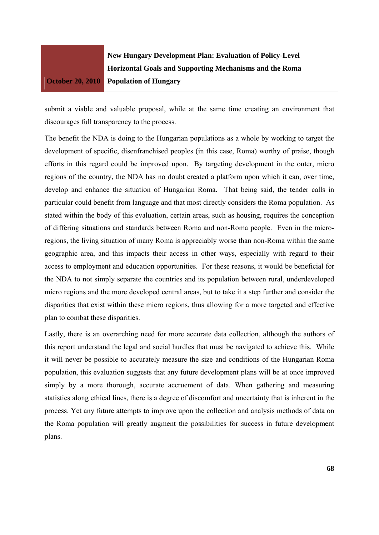

submit a viable and valuable proposal, while at the same time creating an environment that discourages full transparency to the process.

The benefit the NDA is doing to the Hungarian populations as a whole by working to target the development of specific, disenfranchised peoples (in this case, Roma) worthy of praise, though efforts in this regard could be improved upon. By targeting development in the outer, micro regions of the country, the NDA has no doubt created a platform upon which it can, over time, develop and enhance the situation of Hungarian Roma. That being said, the tender calls in particular could benefit from language and that most directly considers the Roma population. As stated within the body of this evaluation, certain areas, such as housing, requires the conception of differing situations and standards between Roma and non-Roma people. Even in the microregions, the living situation of many Roma is appreciably worse than non-Roma within the same geographic area, and this impacts their access in other ways, especially with regard to their access to employment and education opportunities. For these reasons, it would be beneficial for the NDA to not simply separate the countries and its population between rural, underdeveloped micro regions and the more developed central areas, but to take it a step further and consider the disparities that exist within these micro regions, thus allowing for a more targeted and effective plan to combat these disparities.

Lastly, there is an overarching need for more accurate data collection, although the authors of this report understand the legal and social hurdles that must be navigated to achieve this. While it will never be possible to accurately measure the size and conditions of the Hungarian Roma population, this evaluation suggests that any future development plans will be at once improved simply by a more thorough, accurate accruement of data. When gathering and measuring statistics along ethical lines, there is a degree of discomfort and uncertainty that is inherent in the process. Yet any future attempts to improve upon the collection and analysis methods of data on the Roma population will greatly augment the possibilities for success in future development plans.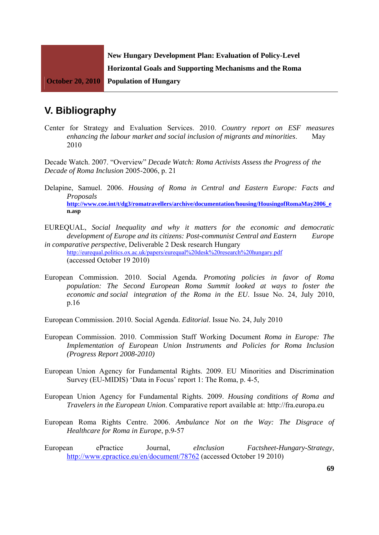

# **V. Bibliography**

Center for Strategy and Evaluation Services. 2010. *Country report on ESF measures enhancing the labour market and social inclusion of migrants and minorities*. May 2010

Decade Watch. 2007. "Overview" *Decade Watch: Roma Activists Assess the Progress of the Decade of Roma Inclusion* 2005-2006, p. 21

- Delapine, Samuel. 2006. *Housing of Roma in Central and Eastern Europe: Facts and Proposals*  **http://www.coe.int/t/dg3/romatravellers/archive/documentation/housing/HousingofRomaMay2006\_e n.asp**
- EUREQUAL, *Social Inequality and why it matters for the economic and democratic development of Europe and its citizens: Post-communist Central and Eastern Europe in comparative perspective*, Deliverable 2 Desk research Hungary http://eurequal.politics.ox.ac.uk/papers/eurequal%20desk%20research%20hungary.pdf

(accessed October 19 2010)

- European Commission. 2010. Social Agenda*. Promoting policies in favor of Roma population: The Second European Roma Summit looked at ways to foster the economic and social integration of the Roma in the EU*. Issue No. 24, July 2010, p.16
- European Commission. 2010. Social Agenda. *Editorial*. Issue No. 24, July 2010
- European Commission. 2010. Commission Staff Working Document *Roma in Europe: The Implementation of European Union Instruments and Policies for Roma Inclusion (Progress Report 2008-2010)*
- European Union Agency for Fundamental Rights. 2009. EU Minorities and Discrimination Survey (EU-MIDIS) 'Data in Focus' report 1: The Roma, p. 4-5,
- European Union Agency for Fundamental Rights. 2009. *Housing conditions of Roma and Travelers in the European Union*. Comparative report available at: http://fra.europa.eu
- European Roma Rights Centre. 2006. *Ambulance Not on the Way: The Disgrace of Healthcare for Roma in Europe*, p.9-57
- European ePractice Journal, *eInclusion Factsheet-Hungary-Strategy*, http://www.epractice.eu/en/document/78762 (accessed October 19 2010)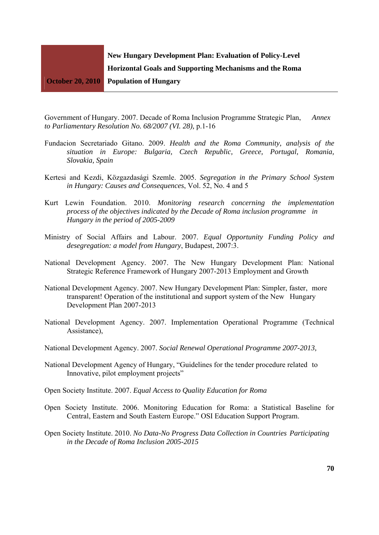

Government of Hungary. 2007. Decade of Roma Inclusion Programme Strategic Plan, *Annex to Parliamentary Resolution No. 68/2007 (VI. 28),* p.1-16

- Fundacion Secretariado Gitano. 2009. *Health and the Roma Community, analysis of the situation in Europe: Bulgaria, Czech Republic, Greece, Portugal, Romania, Slovakia, Spain*
- Kertesi and Kezdi, Közgazdasági Szemle. 2005. *Segregation in the Primary School System in Hungary: Causes and Consequences*, Vol. 52, No. 4 and 5
- Kurt Lewin Foundation. 2010. *Monitoring research concerning the implementation process of the objectives indicated by the Decade of Roma inclusion programme in Hungary in the period of 2005-2009*
- Ministry of Social Affairs and Labour. 2007. *Equal Opportunity Funding Policy and desegregation: a model from Hungary*, Budapest, 2007:3.
- National Development Agency. 2007. The New Hungary Development Plan: National Strategic Reference Framework of Hungary 2007-2013 Employment and Growth
- National Development Agency. 2007. New Hungary Development Plan: Simpler, faster, more transparent! Operation of the institutional and support system of the New Hungary Development Plan 2007-2013
- National Development Agency. 2007. Implementation Operational Programme (Technical Assistance),
- National Development Agency. 2007. *Social Renewal Operational Programme 2007-2013,*
- National Development Agency of Hungary, "Guidelines for the tender procedure related to Innovative, pilot employment projects"
- Open Society Institute. 2007. *Equal Access to Quality Education for Roma*
- Open Society Institute. 2006. Monitoring Education for Roma: a Statistical Baseline for Central, Eastern and South Eastern Europe." OSI Education Support Program.
- Open Society Institute. 2010. *No Data-No Progress Data Collection in Countries Participating in the Decade of Roma Inclusion 2005-2015*